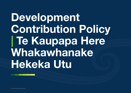# Development Contribution Policy | Te Kaupapa Here Whakawhanake Hekeka Utu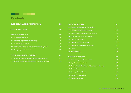## **Contents**

---

| <b>QUEENSTOWN LAKES DISTRICT COUNCIL</b>                | 204 |
|---------------------------------------------------------|-----|
| <b>GLOSSARY OF TERMS</b>                                | 206 |
| <b>PART 1: INTRODUCTION</b>                             | 208 |
| 1.1. Purpose of the Policy                              | 208 |
| 1.2. Statutory requirement for the Policy               | 208 |
| 1.3. Community Outcomes                                 | 208 |
| 1.4. Changes to Development Contributions Policy 2021   | 209 |
| 1.5. Navigating this Document                           | 209 |
|                                                         |     |
| <b>PART 2: ADMINISTERING THE POLICY</b>                 | 210 |
| 2.1. What Activities Attract Development Contributions? | 210 |
| 2.2. When and How are Development Contributions Levied? | 210 |

| <b>PART 3: THE CHARGES</b>                            | 214 |
|-------------------------------------------------------|-----|
| 3.1. Overview of Calculation Methodology              | 214 |
| 3.2. Determining Infrastructure Impact                | 214 |
| 3.3. Schedule of Development Contributions            | 214 |
| 3.4. Land Use Differentials and Categories            | 216 |
| 3.5. Basis of Differentials                           | 220 |
| 3.6. Reserve Land Contributions                       | 223 |
| 3.7. Reserve Improvement Contributions                | 225 |
| 3.8. Credits                                          | 225 |
| 3.9. Review Process                                   | 226 |
|                                                       |     |
| <b>PART 4: POLICY DETAILS</b>                         | 228 |
| 4.1. Contributing Area Determination                  | 228 |
| 4.2. Significant Assumptions                          | 229 |
| 4.3. Calculating the Development Contribution Charges | 229 |
| <b>Growth Costs</b><br>4.4.                           | 230 |
| 4.5. Average Cost of Growth                           | 230 |
| 4.6. Interest Considerations                          | 231 |
| 4.7 Funding Summary                                   | 232 |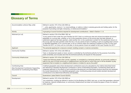## Glossary of Terms

| Accommodation units [or Stay units]                                               | Defined in section 197 of the LGA 2002 as:                                                                                                                                                                                                                                                                                                                                                                                                                                                                                                                                                                                                                                                                                                     |
|-----------------------------------------------------------------------------------|------------------------------------------------------------------------------------------------------------------------------------------------------------------------------------------------------------------------------------------------------------------------------------------------------------------------------------------------------------------------------------------------------------------------------------------------------------------------------------------------------------------------------------------------------------------------------------------------------------------------------------------------------------------------------------------------------------------------------------------------|
|                                                                                   | "units, apartments, rooms in 1 or more buildings, or cabins or sites in camping grounds and holiday parks, for the<br>purpose of providing overnight, temporary, or rental accommodation."                                                                                                                                                                                                                                                                                                                                                                                                                                                                                                                                                     |
| Activity                                                                          | A grouping of council functions required for development contributions – listed in Section 1.1.4.                                                                                                                                                                                                                                                                                                                                                                                                                                                                                                                                                                                                                                              |
| Allotment [or Lot]                                                                | Defined in section 218 of the RMA 1991 as:                                                                                                                                                                                                                                                                                                                                                                                                                                                                                                                                                                                                                                                                                                     |
|                                                                                   | "a) any parcel of land under the Land Transfer Act 2017 that is a continuous area and whose boundaries are shown<br>separately on a survey plan, whether or not: (i) the subdivision shown on the survey plan has been allowed, or<br>subdivision approval has been granted, under another Act; or (ii) a subdivision consent for the subdivision shown on<br>the survey plan has been granted under this Act; or b) any parcel of land or building or part of a building that is shown<br>or identified separately; (i) on a survey plan; or (ii) on a licence within the meaning of subpart 6 of Part 3 of the Land<br>Transfer Act 2017; or c) any unit on a unit plan; or d) any parcel of land not subject to the Land Transfer Act 2017" |
| Applicant                                                                         | The person(s) applying for a resource consent, building consent, or service connection.                                                                                                                                                                                                                                                                                                                                                                                                                                                                                                                                                                                                                                                        |
| <b>Community Facilities</b>                                                       | Defined in section 197 of the LGA 2002 as:                                                                                                                                                                                                                                                                                                                                                                                                                                                                                                                                                                                                                                                                                                     |
|                                                                                   | "land, or development assets on land, owned or controlled by the territorial authority for the purpose of providing<br>public amenities; and includes land that the territorial authority will acquire for that purpose"                                                                                                                                                                                                                                                                                                                                                                                                                                                                                                                       |
| Community Infrastructure                                                          | Defined in section 197 of the LGA 2002 as:                                                                                                                                                                                                                                                                                                                                                                                                                                                                                                                                                                                                                                                                                                     |
|                                                                                   | "means the following assets when owned, operated, or controlled by a territorial authority: a) community centres or<br>halls for the use of a local community or neighbourhood, and the land on which they are or will be situated: b) play<br>equipment that is located on a neighbourhood reserve: c) toilets for use by the public"                                                                                                                                                                                                                                                                                                                                                                                                         |
| Contributing Area                                                                 | A defined geographic area where development contributions are to be calculated by the method described herein                                                                                                                                                                                                                                                                                                                                                                                                                                                                                                                                                                                                                                  |
| (See Development Contribution Supporting<br>Documents for Contributing Area Maps) | and delivering a standard development contribution in terms of \$/Dwelling Equivalent. Contributing areas take an<br>integrated approach to the effects of land subdivision/development and associated physical resources and assesses<br>the overall requirements of an identified geographic area. Contributing areas should enable standard development<br>contributions to be determined efficiently and equitably.                                                                                                                                                                                                                                                                                                                        |
| Council                                                                           | Queenstown Lakes District Council (QLDC)                                                                                                                                                                                                                                                                                                                                                                                                                                                                                                                                                                                                                                                                                                       |
| Development                                                                       | Defined in section 197 of the LGA 2002 as:                                                                                                                                                                                                                                                                                                                                                                                                                                                                                                                                                                                                                                                                                                     |
|                                                                                   | "any subdivision, building (as defined in section 8 of the Building Act 2004), land use, or work that generates a demand<br>for reserves, network infrastructure, or community infrastructure; but does not include the pipes or lines of a network<br>utility operator"                                                                                                                                                                                                                                                                                                                                                                                                                                                                       |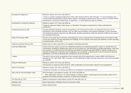| Development Agreement               | Defined in section 197 of the LGA 2002 as:                                                                                                                                                                                                                                                                                                                                                                                                                                                                                                                        |
|-------------------------------------|-------------------------------------------------------------------------------------------------------------------------------------------------------------------------------------------------------------------------------------------------------------------------------------------------------------------------------------------------------------------------------------------------------------------------------------------------------------------------------------------------------------------------------------------------------------------|
|                                     | "means a voluntary contractual agreement made under sections 207A to 207F between 1 or more developers and 1<br>or more territorial authorities for the provision, supply or exchange of infrastructure, land, or money to provide network<br>infrastructure, community infrastructure, or reserves in 1 or more districts or part of a district"                                                                                                                                                                                                                 |
| Development contribution objection  | Defined in section 197 of the LGA 2002 as:                                                                                                                                                                                                                                                                                                                                                                                                                                                                                                                        |
|                                     | "means an objection lodged under clause 1 or Schedule 13A against a requirement to make a development<br>contribution"                                                                                                                                                                                                                                                                                                                                                                                                                                            |
| Dwelling Equivalent [or DE]         | A typical residential dwelling, however representing a unit of demand for which non-residential land uses can be<br>described by. Non-residential activities, such as visitor accommodation and business categories, can be converted<br>into dwelling equivalents using land use differentials. Dwelling equivalents enable the demand of different land uses to<br>be considered collectively.                                                                                                                                                                  |
| Gross Floor Area [or GFA]           | The sum of the gross area of all floors of all buildings on a site, measured from the exterior faces of the exterior walls,<br>or from the centre line of walls separating two buildings. For the purpose of this policy this definition of GFA, excluding<br>car parking areas, will be used.                                                                                                                                                                                                                                                                    |
| Impervious Surface Area [or ISA]    | Sealed area of a site or area that is not capable of absorbing rainwater.                                                                                                                                                                                                                                                                                                                                                                                                                                                                                         |
| <b>Land Use Differentials</b>       | Factors which are used to convert non-residential properties into dwelling equivalents. Impact on, benefit from and<br>consumption of assets by different land uses can be converted into, and described as dwelling equivalents. They have<br>two functions 1) to determine the total dwelling equivalents for apportioning total CAPEX for growth to determine a<br>standard development contribution and 2) enabling a new subdivision or development to be converted into dwelling<br>equivalents, such that the development contributions can be calculated. |
| Lodged                              | The point in time at which an application that complies with all the requirements in section 88(2) of the Resource<br>Management Act 1991 (RMA 1991) or section 45 of the Building Act 2004, has been received by Council and accepted<br>as complete.                                                                                                                                                                                                                                                                                                            |
| Network Infrastructure              | Defined in section 197 of the LGA 2002 as:                                                                                                                                                                                                                                                                                                                                                                                                                                                                                                                        |
|                                     | "the provision of roads and other transport, water, wastewater, and stormwater collection and management"                                                                                                                                                                                                                                                                                                                                                                                                                                                         |
| <b>Service Connection</b>           | Defined in section 197 of the LGA 2002 as:                                                                                                                                                                                                                                                                                                                                                                                                                                                                                                                        |
|                                     | "a physical connection to a service provided by, or on behalf of, a territorial authority"                                                                                                                                                                                                                                                                                                                                                                                                                                                                        |
| Stay units [or Accommodation units] | Accommodation units defined in section 197 of the LGA 2002 as:                                                                                                                                                                                                                                                                                                                                                                                                                                                                                                    |
|                                     | "units, apartments, rooms in 1 or more buildings, or cabins or sites in camping grounds and holiday parks, for the<br>purpose of providing overnight, temporary, or rental accommodation."                                                                                                                                                                                                                                                                                                                                                                        |
| Ten Year Plan [or TYP]              | Refers to Queenstown Lakes District Council Ten Year Plan 2021-31                                                                                                                                                                                                                                                                                                                                                                                                                                                                                                 |
| <b>Wakatipu Area</b>                | Means Queenstown-Wakatipu Ward and Arrowtown Ward.                                                                                                                                                                                                                                                                                                                                                                                                                                                                                                                |
| Wānaka Area                         | Means Wānaka Ward.                                                                                                                                                                                                                                                                                                                                                                                                                                                                                                                                                |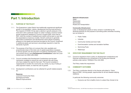## Part 1: Introduction

#### 1.1. PURPOSE OF THE POLICY

- 1.1.1. The Queenstown Lakes District has traditionally experienced significant growth in its population, visitors, development and the local economy. The impacts of COVID-19 has seen a decline in growth pressure in the short-term with a particular impact on visitor numbers, however revised growth projections released by Council in August 2020<sup>1</sup> show that by 2031, both the number of residents and visitors will be back on par with the expectations of previous models. Growth continues to generate high levels of subdivision and development which places increasing pressure on the assets and services provided by the Council. Investment in additional assets and services is accordingly required to meet the demands of growth.
- 1.1.2. The purpose of the Policy is to ensure that a fair, equitable and proportionate share of the total cost of capital expenditure necessary to service growth over the long term is funded by development. Council may achieve this by using **Development Contributions** under the Local Government Act 2002 (LGA 2002).
- 1.1.3. Council considers that Development Contributions are the best mechanism available to ensure the cost of growth sits with those who have created the need for that cost. The Council considers it inappropriate to burden the community as a whole, by way of rating or other payment means, to meet the cost of growth.
- 1.1.4. Development contributions can be collected for growth related projects for:

#### Reserves

Local and Community Parks Sportsground Parks Reserve Improvements

#### Network Infrastructure **Water Wastewater Stormwater** Roads and Transportation

#### Community Infrastructure

Land, or development assets on land, owned or controlled by the territorial authority for the purpose of providing public amenities including but not limited to:

- > Public Toilets
- > Libraries
- > Community Centres and town halls
- > Event/recreation centres and recreation facilities
- > Swimming Pools
- > Waterways

#### 1.2. STATUTORY REQUIREMENT FOR THE POLICY

1.2.1. Council is required to have a policy on development contributions and financial contributions as a component of its funding and financial policies under section 102(2)(d) of the LGA 2002.

The Policy meets this requirement.

#### 1.3. COMMUNITY OUTCOMES

1.3.1. The Policy contributes directly to the themes articulated in 'Vision Beyond 2050', thriving people, opportunities for all and disaster-defying resilience.

In particular the following community outcomes:

> Everyone can find a healthy home in a place they choose to be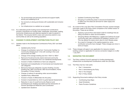- > Our environments and services promote and support health, activity and wellbeing for all
- > Our economy is strong and diverse with sustainable and inclusive growth
- > Our infrastructure is a resilient as our people
- 1.3.2. As a dedicated growth funding source development contributions provide a mechanism for funding water, wastewater, stormwater, roading, community infrastructure and reserves required to cater for growth in the District. This ensures QLDC's vision and outcomes extend to new communities as well as the existing population.

#### 1.4. CHANGES TO DEVELOPMENT CONTRIBUTIONS POLICY 2021

- 1.4.1. Updates made to the Development Contributions Policy 2021 are listed below:
	- > Updated policy format
	- > Change of contribution name from 'Community Facilities' to 'Community Infrastructure' in line with wording in the Local Government Act 2002.
	- > Change of the average dwelling size from 140m<sup>2</sup> to 180m<sup>2</sup>
	- > Removal of local/community reserve land and community infrastructure contributions from non-residential developments
	- > Inclusion of table of definitions of land use categories
	- > Expansion and reclassification of Commercial and Industrial land use categories
	- > Removal of land use categories: Country Dwelling; Country Dwelling Flat; CBD Commercial; CBD Accommodation; Home Occupation; Primary Industry.
	- > Change of method of calculating visitor accommodation
	- > Updated Policy differentials
	- > Inclusion of basis of differentials into the policy
	- > Inclusion of parameters by which to guide Special Assessments
	- > Reduction in size of Local/Community Reserve Land Contributions per dwelling equivalent and the introduction of Premier Sportsground Reserves Land Contribution
- > Updated Contributing Area Maps
- > Grouping of contributing areas in and around Queenstown to reflect how the areas are serviced for water supply and wastewater.
- 1.4.2. As a result of the Long Term Plan Consultation Process; several changes have been made to the Policy (when compared to the notified version of the policy). These are as follows:
	- > Applying a ground floor area based credit for dwellings that are being converted to visitor accommodation.
	- > Grouping Hāwea with Makaoroa, Luggate and Cadrona for local/ community park cash contributions as detailed in section 3.6.7. This has altered the reserve land value for both Wanaka areas.
	- > As a result of changes to the capital programme, some contribution amounts have changed. These changes are minor in terms of impact.
- 1.4.3. These changes will apply to any application for resource consent, building consent or application for service connection lodged on or after 1 July 2021.

#### 1.5. NAVIGATING THIS DOCUMENT

- 1.5.1. The Policy outlines Council's approach to funding development infrastructure via development contributions under the LGA 2002.
- 1.5.2. The Policy has four main parts:
	- > Part 1: Introduction
	- > Part 2: Administering the Policy
	- > Part 3: The Charges
	- > Part 4: Policy Details
- 1.5.3. Supporting Documents relating to this Policy include:
	- > Contributing Area Maps
	- > Asset Schedules
	- > Parks Provision Guidelines

> Updated land valuations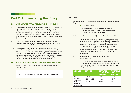## Part 2: Administering the Policy

#### 2.1. WHAT ACTIVITIES ATTRACT DEVELOPMENT CONTRIBUTIONS?

- 2.1.1. Development contributions may be sought in respect of any development that generates a demand for reserves, network and community infrastructure. If subdividing, building, connecting to Council services, or otherwise undertaking development in the District, development contributions will need to be assessed. Development contributions apply to developments within the areas shown in the Contributing Area Maps (see supporting documents).
- 2.1.2. In some circumstances, development contributions may not apply or may be reduced. Further information on these circumstances can be found in the section: *2.2.7 Limitations; 3.8. Credits.*
- 2.1.3. Development of new infrastructure sometimes means that areas not previously liable for development contributions become so. For example, a bare section in a subdivision may be liable for development contributions whereas previously constructed houses on the same subdivision were not. The current Development Contributions Policy will reflect those changes. Council officers will be available to help resolve any uncertainty about development contribution liabilities.

#### 2.2. WHEN AND HOW ARE DEVELOPMENT CONTRIBUTIONS LEVIED?

The usual steps for assessing and requiring payment of development contributions are:

TRIGGER – ASSESSMENT – NOTICE – INVOICE – PAYMENT

2.2.1. Trigger

Council can require development contributions for a development upon the granting of:

- > A resource consent
- > A building consent or certificate of acceptance
- > An authorisation for a service connection for water, wastewater or stormwater services
- 2.2.1.1. Residential development (excludes Visitor Accommodation)

For purely residential developments, QLDC shall assess the entire development contribution under the policy in place the time at which the subdivision consent application is lodged with all required information. Any residential development that does not require a subdivision consent (e.g. second residential units or additional residential flats) shall be assessed under the policy in place at the time the relevant building consent application is lodged with all required information.

2.2.1.2. Non-residential development (includes Visitor Accommodation)

> For a non-residential subdivision, QLDC shall levy a portion of the development contribution based on the following table under the policy in place at the time the subdivision consent is lodged with all required information.

| <b>LAND USE</b>                                                                              | <b>LOT SIZE</b>           | <b>ESTIMATED</b><br><b>GROSS FLOOR</b><br><b>AREA (GFA)</b> | <b>IMPERVIOUS</b><br><b>SURFACE</b><br><b>AREA (ISA)</b> |
|----------------------------------------------------------------------------------------------|---------------------------|-------------------------------------------------------------|----------------------------------------------------------|
| All land<br>uses except<br>Residential,<br>Multi-unit<br>residential and<br>Residential flat | $\leq 500$ m <sup>2</sup> | 50 <sup>m²</sup>                                            | 62.5 <sup>m2</sup>                                       |
|                                                                                              | $>500m^2 \leq 2000m^2$    | 100 <sup>m²</sup>                                           | 125m <sup>2</sup>                                        |
|                                                                                              | $>2000$ m <sup>2</sup>    | 400 <sub>m<sup>2</sup></sub>                                | 500 <sub>m<sup>2</sup></sub>                             |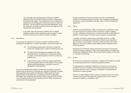The remainder of the development contribution shall be assessed when the relevant building consent is lodged with all required information. The assessment will be undertaken in reference to the development contributions policy in place at that time. This provides the most accurate assessment once the final plans, gross floor areas and land use category of the development are confirmed.

In all cases, land use resource consents with no related building consents will be assessed under the policy in place the time at the land use resource consent is lodged.

#### 2.2.2. Assessment

On receiving an application for resource consent, building consent, certificate of acceptance, or service connection, Council will check that:

- (A) The development generates a demand for reserves, community infrastructure or network infrastructure; and
- (B) The effect of that development (together with other developments) is to require new or additional assets or assets of increased capacity in terms of community facilities; and
- (C) Council has incurred or will incur capital expenditure to provide appropriately for those assets. This includes capital expenditure already incurred by Council in anticipation of development.

Council has identified the assets and areas that are likely to meet the requirements of (B) and (C), and these are outlined in Schedule of Assets (see supporting documents) and Disclosure Tables (past and future assets funded by development contributions) and the Contributing Area Maps (see supporting documents). Where a development is within one of the areas covered by the Contributing Area Maps, development contributions will be assessed.

Should connection to Council's network occur for a development outside of the existing scheme boundary, then a bespoke development contribution may be negotiated, typically under a Private Development Agreement.

2.2.3. Notice

Under the LGA 2002 Section 198(1), a development contribution notice can be issued from the point at which a resource consent, building consent, certificate of acceptance, or service connection authorisation is granted. In some cases, the notice may be issued or re-issued later.

If multiple consents or authorisations are being issued for a single development, a development contributions notice may be issued for each consent or authorisation. However, where payments are made in relation to one of the notices, actual credits will be recognised for the remaining notices.

Development contribution notices will issued via email to the property owner, the consent applicant, and/or their representatives. Development contribution obligations remain with the land and/or property in the event of a change of ownership.

2.2.4. Invoice

An invoice for development contribution charges will be issued to provide an accounting record and to initiate the payment process.

If a development contribution required by Council is not invoiced as a result of an error or omission on the part of Council, the invoice will be issued when the error or omission is identified. The development contributions remain payable.

If there is a delay between when a notice is issued and when an invoice is issued, the Council may adjust the charges levied in the invoice to account for inflation<sup>2</sup> or changes in GST.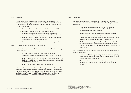#### 2.2.5. Payment

As set out at *2.2.3.* above, under the LGA 2002 Section 198(1), a territorial authority may require a development contribution to be paid from the date of granting the related consent. Payment to Council must be made as follows:

- > Resource Consent (subdivision) prior to the issue of S224c;
- > Resource Consent (change of land use) on receipt of the development contributions notice or prior to the commencement of the resource consent<sup>3</sup>, whichever is earlier;
- > Building Consent prior to the issue of the code compliance certificate or certificate of acceptance;
- > Service connection prior to authorisation being granted.
- 2.2.6. Non-payment of Development Contributions

Until the development contributions have been paid in full, Council may (as applicable):

- > Prevent the commencement of a resource consent:
- > Withhold a certificate under Section 224(c) of the RMA 1991;
- > Withhold a code compliance certificate under Section 95 of the Building Act 2004 or certificate of acceptance under section 99 of the Building Act 2004;
- > Withhold a service connection to the development;

Where invoices remain unpaid beyond the payment terms Council will start debt collection proceedings, which may involve the use of a credit recovery agent. Council may also register the development contribution under the Land Transfer Act 2017, as a charge on the title of the land in respect of which the development contribution was required.

2.2.7. Limitations

Council is unable to require a development contribution in certain circumstances, as outlined in section 200 of the LGA 2002, if, and to the extent that:

- > It has, under section 108(2)(a) of the RMA, imposed a condition on a resource consent in relation to the same development for the same purpose;
- > The developer will fund or otherwise provide for the same reserve or network infrastructure;
- > A third party has funded or provided, or undertaken to fund or provide, the same reserve or network infrastructure;
- > The Council has already required a development contribution for the same purpose in respect of the same building work, whether on the granting of a building consent or a certificate of acceptance.

In addition, Council will not require a development contribution in any of the following cases:

- > Where, in relation to any dwelling, replacement development, repair or renovation work generates no additional demand for reserve or network infrastructure.
- > The application for a resource or building consent, authorisation, or certificate of acceptance is made by the Crown.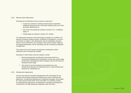#### 2.2.8. Waivers and/or Reductions

Development contributions may be waived or reduced if:

- > A resource consent or building consent does not generate additional demand for any community facilities (such as a minor boundary adjustment); or
- > One of the circumstances outlined in section *2.2.7. Limitations*  apply; or
- > Credits apply as outlined in section *3.8. Credits.*

If a subsequent resource consent (including a change to a condition of a resource consent), building consent, certificate of acceptance, or service connection is sought, a new assessment may be undertaken using the Policy in force at that time. Any increase in the number of DEs, relative to the original assessment, will be calculated and the contributions adjusted to reflect this.

This means Council will require development contributions where additional units of demand are created.

Examples of where these would be needed, include:

- > Minimal development contributions have been levied on a commercial development at subdivision or land use consent stage as the type of development that will happen will only be known at building consent stage.
- > The nature of use has changed, for example from a low infrastructure demand non-residential use to a high infrastructure demand non-residential use.

#### 2.2.9. Development Agreements

Council may enter into specific arrangements with a developer for the provision and funding of particular infrastructure under a development agreement, including the development contributions payable, as provided for under sections 207A-207F of the LGA 2002. For activities covered by a development agreement, the agreement overrides the development contributions normally assessed as payable under the Policy.

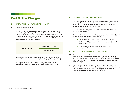## Part 3: The Charges

#### 3.1. OVERVIEW OF CALCULATION METHODOLOGY

#### 3.1.1. Growth capital expenditure

The key concept of the approach is to define the total cost of capital expenditure (CAPEX) for growth consumed by the growth in population over a set period of time. This consumption of CAPEX for growth is then apportioned among the increased number dwelling equivalents (DE) over the same time period. This defines the average cost per DE. This can be represented by the following formula.



Capital expenditure for growth is based on Financial Reports (past expenditure) and Ten Year Plan (TYP) budgets (projected expenditure).

Only growth capital expenditure is considered in the model. All operational expenditure is excluded, including internal overheads.

#### 3.2. DETERMINING INFRASTRUCTURE IMPACT

The Policy is centred around a dwelling equivalent (DE), in other words, an average household in a standard residential unit and the demands they typically place on community facilities. The basis of these are detailed in section *3.5 Basis of Differentials*.

The number of DEs charged is one per new residential allotment or residential unit created.

When calculating the number of DEs for a residential subdivision, Council will adjust the assessment to account for any:

- > Credits relating to the site (refer to the section *3.8. Credits*).
- > Allotment which, by agreement, is to be vested in Council for a public purpose.
- > Allotment required as a condition of consent to be amalgamated with another allotment.

#### 3.3. SCHEDULE OF DEVELOPMENT CONTRIBUTIONS

- 3.3.1. For each infrastructure activity where development contributions are required, the development contribution payable is calculated by multiplying the number of DE generated through the development by the charge for that activity. This is then aggregated for all activities to give the total charge.
- 3.3.2. These charges may be adjusted for inflation annually in line with the Producers Price Index outputs for Construction, as permitted by sections 106 (2B) and (2C) of the LGA 2002. The charge for a DE for each contributing area and activity is summarised below.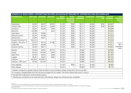| SCHEDULE OF DEVELOPMENT CONTRIBUTIONS PER DWELLING EQUIVALENT REQUIRED BY CONTRIBUTING AREA (EXCLUDING GST)                |                     |                   |                   |                                       |                                                                         |                                           |                       |                                   |                                          |                                                      |
|----------------------------------------------------------------------------------------------------------------------------|---------------------|-------------------|-------------------|---------------------------------------|-------------------------------------------------------------------------|-------------------------------------------|-----------------------|-----------------------------------|------------------------------------------|------------------------------------------------------|
| <b>Contributing area<sup>4</sup></b>                                                                                       | <b>Water Supply</b> | <b>Wastewater</b> | <b>Stormwater</b> | <b>Reserve</b><br><b>Improvements</b> | <b>Premier</b><br><b>Sportsground</b><br>- Reserve land<br>contribution | <b>Community</b><br><b>Infrastructure</b> | <b>Transportation</b> | <b>Transportation</b><br>$- EAR5$ | <b>Total Cash</b><br><b>Contribution</b> | Local/<br><b>Community</b><br><b>Reserve</b><br>Land |
| Queenstown                                                                                                                 | \$4,454             | \$6,317           | \$3,670           | \$1,233                               | \$500                                                                   | \$3,711                                   | \$3,389               | \$763                             | \$24,037                                 |                                                      |
| <b>Frankton Flats</b>                                                                                                      | \$4,454             | \$6,317           | \$4,883           | \$1,233                               | \$500                                                                   | \$3,711                                   | \$3,389               | \$763                             | \$25,250                                 |                                                      |
| Arrowtown                                                                                                                  | \$3,941             | \$3,349           | \$446             | \$1,233                               | \$500                                                                   | \$3,711                                   | \$3,389               |                                   | \$16,569                                 |                                                      |
| Glenorchy                                                                                                                  | \$10,688            | Λ                 | \$434             | \$1,233                               | \$500                                                                   | \$3,711                                   | \$3,389               |                                   | \$19,955                                 |                                                      |
| Lake Hayes                                                                                                                 | \$4,454             | \$3,984           |                   | \$1,233                               | \$500                                                                   | \$3,711                                   | \$3,389               |                                   | \$17,271                                 |                                                      |
| <b>Shotover Country</b>                                                                                                    | \$4,454             | \$1,938           |                   | \$1,233                               | \$500                                                                   | \$3,711                                   | \$3,389               |                                   | \$15,225                                 |                                                      |
| <b>Arthurs Point</b>                                                                                                       | \$1,867             | \$6,317           |                   | \$1,233                               | \$500                                                                   | \$3,711                                   | \$3,389               |                                   | \$17,017                                 |                                                      |
| Kingston Township # %                                                                                                      | \$9,516#            | Λ                 | $\wedge$          | \$1,233                               | \$500                                                                   | \$3,711                                   | \$3,389               |                                   | \$18,349                                 |                                                      |
| Kingston - KVL zone *%                                                                                                     | \$1,977             | \$2,719           | \$1,388           | \$1,233                               | \$500                                                                   | \$3,711                                   | \$3,389               |                                   | \$14,917                                 | 17.5m <sup>2</sup> /                                 |
| <b>Ladies Mile</b>                                                                                                         | \$4,454             | \$2,384           |                   | \$1,233                               | \$500                                                                   | \$3,711                                   | \$3,389               |                                   | \$15,671                                 | DE in                                                |
| Southern Corridor                                                                                                          | \$4,454             | \$6,317           |                   | \$1,233                               | \$500                                                                   | \$3,711                                   | \$3,389               |                                   | \$19,604                                 | applicable<br>areas <sup>6</sup>                     |
| Wānaka                                                                                                                     | \$7,034             | \$5,821           | \$2,119           | \$2,434                               |                                                                         | \$3,808                                   | \$1,873               |                                   | \$23,089                                 |                                                      |
| Hāwea                                                                                                                      | \$5,543             | \$16,942          | \$403             | \$2,434                               |                                                                         | \$3,808                                   | \$1,873               |                                   | \$31,003                                 |                                                      |
| Albert Town                                                                                                                | \$7,034             | \$5,821           | \$350             | \$2,434                               |                                                                         | \$3,808                                   | \$1,873               |                                   | \$21,320                                 |                                                      |
| Luggate                                                                                                                    | \$6,491             | \$5,821           | \$295             | \$2,434                               |                                                                         | \$3,808                                   | \$1,873               |                                   | \$20,722                                 |                                                      |
| Cardrona                                                                                                                   | \$8,490 #           | \$15,850#         |                   | \$2,434                               |                                                                         | \$3,808                                   | \$1,873               |                                   | \$32,455                                 |                                                      |
| Cardrona - MCS zone *                                                                                                      | \$7,920             | \$12,420          |                   | \$2,434                               |                                                                         | \$3,808                                   | \$1,873               |                                   | \$28,455                                 |                                                      |
| Other Wakatipu                                                                                                             |                     |                   |                   | \$1,233                               | \$500                                                                   | \$3,711                                   | \$3,389               |                                   | \$8,833                                  |                                                      |
| Other Wānaka                                                                                                               |                     |                   |                   | \$2,434                               |                                                                         | \$3,808                                   | \$1,873               |                                   | \$8,115                                  |                                                      |
| * Different contributions payable in Mount Cardona Station zone and Kingston Village Limited (KVL) Zone as per PDA         |                     |                   |                   |                                       |                                                                         |                                           |                       |                                   |                                          |                                                      |
| % In Kingston a Targeted Rate of \$1,025 will also be charged for all 3-waters. This will be indexed each year at 2.5%p.a. |                     |                   |                   |                                       |                                                                         |                                           |                       |                                   |                                          |                                                      |
| # Includes 20% funding from small townships scheme                                                                         |                     |                   |                   |                                       |                                                                         |                                           |                       |                                   |                                          |                                                      |

^ Development contribution to be confirmed when final planning, design and costing has been completed

<sup>4</sup> Development in any area with funding assistance from the Housing Infrastructure Fund (HIF) may qualify for a reduced development contribution, e.g. Quail Rise

<sup>&</sup>lt;sup>5</sup> The contributing area for the Eastern Access Road (EAR) is not the same as the contributing area for Frankton Flats Stormwater network. Refer to the Contributing Area Maps in the Development Contributions Supporting Documents.

<sup>&</sup>lt;sup>6</sup> In accordance with part 3.6.5 of this policy and subject to parts 3.6.7. and 3.6.8. of this policy. QLDC TEN YEAR PLAN 2021–2031 VOLUME TWO 215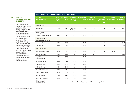#### 3.4. LAND USE DIFFERENTIALS AND **CATEGORIES**

Land use differentials enable all development and subdivision categories (residential and non-residential) to be considered in terms of a common unit of demand, which in this case is the dwelling equivalent (DE). The following table summarises the conversion factors or land use differentials used to convert all activity or development categories into residential dwelling equivalents based on gross floor area or per stay units for visitor accommodation.

| 3.4.1. DWELLING EQUIVALENT CALCULATION TABLE   |                                        |                            |                                            |                                                        |                                           |                                                           |                                                       |                                       |
|------------------------------------------------|----------------------------------------|----------------------------|--------------------------------------------|--------------------------------------------------------|-------------------------------------------|-----------------------------------------------------------|-------------------------------------------------------|---------------------------------------|
| Units (per)<br><b>Land Use Category</b>        | <b>Water</b><br><b>Supply</b><br>(GFA) | <b>Wastewater</b><br>(GFA) | <b>Stormwater</b><br>(per $100m^2$<br>ISA) | <b>Transportation</b><br>(GFA)                         | <b>Community</b><br><b>Infrastructure</b> | Local/<br><b>Community</b><br><b>Park reserve</b><br>land | <b>Premier</b><br><b>Sportsground</b><br>reserve land | <b>Reserve</b><br><b>improvements</b> |
| Per lot/house                                  |                                        |                            |                                            |                                                        |                                           |                                                           |                                                       |                                       |
| Residential                                    | 1.00                                   | 1.00                       | 1.00 per<br>lot/house                      | 1.00                                                   | 1.00                                      | 1.00                                                      | 1.00                                                  | 1.00                                  |
| Per stay unit                                  |                                        |                            |                                            |                                                        |                                           |                                                           |                                                       |                                       |
| Visitor Accommodation                          | 0.33                                   | 0.50                       | 0.38                                       | 0.33                                                   | 0.33                                      |                                                           |                                                       |                                       |
| Per retirement unit<br>(apartment/villa/house) |                                        |                            |                                            |                                                        |                                           |                                                           |                                                       |                                       |
| 2 or more bedrooms                             | 0.60                                   | 0.58                       | 0.38                                       | 0.29                                                   | 0.65                                      | 0.41                                                      |                                                       | 0.41                                  |
| 1 bedroom                                      | 0.40                                   | 0.38                       | 0.38                                       | 0.19                                                   | 0.43                                      | 0.27                                                      |                                                       | 0.27                                  |
| Per 100m2 GFA                                  |                                        |                            |                                            |                                                        |                                           |                                                           |                                                       |                                       |
| Multi-Unit Residential                         | 0.56                                   | 0.56                       | 0.38                                       | 0.56                                                   | 0.56                                      | 0.56                                                      | 0.56                                                  | 0.56                                  |
| <b>Residential Flat</b>                        | 0.56                                   | 0.56                       | 0.38                                       | 0.56                                                   | 0.56                                      |                                                           |                                                       | 0.56                                  |
| MU-Visitor<br>Accommodation                    | 0.62                                   | 0.73                       | 0.38                                       | 0.62                                                   | 0.62                                      |                                                           |                                                       |                                       |
| MU-Commercial                                  | 0.46                                   | 0.47                       | 0.38                                       | 0.92                                                   |                                           |                                                           |                                                       |                                       |
| Industrial - dry                               | 0.09                                   | 0.13                       | 0.38                                       | 0.44                                                   |                                           |                                                           |                                                       |                                       |
| Industrial - wet                               | 0.30                                   | 0.41                       | 0.38                                       | 1.00                                                   |                                           |                                                           |                                                       |                                       |
| <b>General Commercial</b>                      | 0.16                                   | 0.22                       | 0.38                                       | 2.00                                                   |                                           |                                                           |                                                       |                                       |
| Large Format Retail                            | 0.09                                   | 0.13                       | 0.38                                       | 1.33                                                   |                                           |                                                           |                                                       |                                       |
| Restaurant/Bar                                 | 1.49                                   | 2.03                       | 0.38                                       | 2.00                                                   |                                           |                                                           |                                                       |                                       |
| <b>Child-care Centres</b>                      | 0.55                                   | 0.74                       | 0.38                                       | 3.58                                                   |                                           |                                                           |                                                       |                                       |
| Other/unusual<br>developments                  |                                        |                            |                                            | To be individually assessed at the time of application |                                           |                                                           |                                                       |                                       |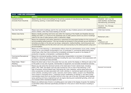| 3.4.2. LAND USE CATEGORIES                                |                                                                                                                                                                                                                                                                                                                                                                                                                                                                                                                                                                                                                                                                                                                                                                                                                                                                                     |                                                                                           |  |  |  |  |
|-----------------------------------------------------------|-------------------------------------------------------------------------------------------------------------------------------------------------------------------------------------------------------------------------------------------------------------------------------------------------------------------------------------------------------------------------------------------------------------------------------------------------------------------------------------------------------------------------------------------------------------------------------------------------------------------------------------------------------------------------------------------------------------------------------------------------------------------------------------------------------------------------------------------------------------------------------------|-------------------------------------------------------------------------------------------|--|--|--|--|
| <b>PDP Category</b>                                       | <b>Definition</b>                                                                                                                                                                                                                                                                                                                                                                                                                                                                                                                                                                                                                                                                                                                                                                                                                                                                   | <b>DC Land Use Category</b>                                                               |  |  |  |  |
| <b>Industrial Activity</b><br>(includes Rural Industrial) | Means the use of land and buildings for the primary purpose of manufacturing, fabricating,<br>processing, packing, or associated storage of goods                                                                                                                                                                                                                                                                                                                                                                                                                                                                                                                                                                                                                                                                                                                                   | Industrial - wet ; e.g. Car<br>wash facilities, laundromats,<br>manufacturing, processing |  |  |  |  |
|                                                           |                                                                                                                                                                                                                                                                                                                                                                                                                                                                                                                                                                                                                                                                                                                                                                                                                                                                                     | Industrial - Dry; Storage,<br>warehouses                                                  |  |  |  |  |
| Day Care Facility                                         | Means land and/or buildings used for the care during the day of elderly persons with disabilities<br>and/or children, other than those residing on the site.                                                                                                                                                                                                                                                                                                                                                                                                                                                                                                                                                                                                                                                                                                                        | <b>Child-Care Centres</b>                                                                 |  |  |  |  |
| <b>Elderly Care Home</b>                                  | Means a facility providing rest home care within the meaning of the Health and Disability Services<br>(Safety) Act (2001), or a home for the residential care of older persons and/or any land or buildings<br>used for the care of older persons within a retirement village.                                                                                                                                                                                                                                                                                                                                                                                                                                                                                                                                                                                                      | Retirement units -                                                                        |  |  |  |  |
| <b>Retirement Village</b>                                 | Means the residential units (either detached or attached) and associated facilities for the purpose of<br>accommodating retired persons. This use includes as accessory to the principal use any services or<br>amenities provided on the site such as shops, restaurants, medical facilities, swimming pools and<br>recreational facilities and the like which are to be used exclusively by the retired persons using such<br>accommodation.                                                                                                                                                                                                                                                                                                                                                                                                                                      | either<br>1 bedroom unit<br>2 or more bedroom unit                                        |  |  |  |  |
| Office                                                    | Means any of the following: a. administrative offices where the administration of any entity, whether<br>trading or not, and whether incorporated or not, is conducted; b. commercial offices being place<br>where trade, other than that involving the immediately exchange for goods or the display or<br>production of goods, is transacted; c. professional offices.                                                                                                                                                                                                                                                                                                                                                                                                                                                                                                            |                                                                                           |  |  |  |  |
| <b>Commercial Recreational</b><br>Activities              | Means the commercial guiding, training, instructing, transportation or provision of recreation<br>facilities to clients for recreational purposes including the use of any building or land associated with<br>the activity, excluding ski area activities.                                                                                                                                                                                                                                                                                                                                                                                                                                                                                                                                                                                                                         |                                                                                           |  |  |  |  |
| Retail Sales / Retail /<br>Retailing                      | Means the direct sale or hire to the public from any site, and/or the display or offering for sale or hire<br>to the public on any site of goods, merchandise or equipment, but excludes recreational activities                                                                                                                                                                                                                                                                                                                                                                                                                                                                                                                                                                                                                                                                    |                                                                                           |  |  |  |  |
| Service Station                                           | Means any site where the dominant activity is the retail sale of motor vehicle fuels, including<br>petrol, LPG, CNG, and diesel, and may also include any one or more of the following: a. the<br>sale of kerosene, alcohol based fuels, lubricating oils, tyres, batteries, vehicle spare parts and<br>other accessories normally associated with motor vehicles; b. mechanical repair and servicing of<br>motor vehicles, including motor cycles, caravans, boat motors, trailers, except in any Residential,<br>Town Centre or Township Zone; c. inspection and/or certification of vehicles; d. the sale of other<br>merchandise where this is an ancillary activity to the main use of the site. Excludes: panel beating,<br>spray painting and heavy engineering such as engine reboring and crankshaft grinding, which are<br>not included within mechanical repairs of moto | <b>General Commercial</b>                                                                 |  |  |  |  |
| Showroom                                                  | Means any defined area of land or a building given over solely to the display of goods. No retailing<br>is permitted unless otherwise specifically provided for in the zone in which the land or building is<br>located.                                                                                                                                                                                                                                                                                                                                                                                                                                                                                                                                                                                                                                                            |                                                                                           |  |  |  |  |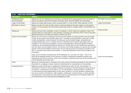| 3.4.2. LAND USE CATEGORIES                  |                                                                                                                                                                                                                                                                                                                                                                                                                                                                                                                                                                                                                                                                                                                                                                                                                                                                                                                                                                                                                                                         |                             |  |  |  |  |
|---------------------------------------------|---------------------------------------------------------------------------------------------------------------------------------------------------------------------------------------------------------------------------------------------------------------------------------------------------------------------------------------------------------------------------------------------------------------------------------------------------------------------------------------------------------------------------------------------------------------------------------------------------------------------------------------------------------------------------------------------------------------------------------------------------------------------------------------------------------------------------------------------------------------------------------------------------------------------------------------------------------------------------------------------------------------------------------------------------------|-----------------------------|--|--|--|--|
| <b>PDP Category</b>                         | <b>Definition</b>                                                                                                                                                                                                                                                                                                                                                                                                                                                                                                                                                                                                                                                                                                                                                                                                                                                                                                                                                                                                                                       | <b>DC Land Use Category</b> |  |  |  |  |
| <b>Residential Visitor</b><br>Accommodation | Means the use of a residential unit including a residential flat by paying guests where the length of<br>stay by any guest is less than 90 nights. Excludes: Visitor Accommodation and Homestays.                                                                                                                                                                                                                                                                                                                                                                                                                                                                                                                                                                                                                                                                                                                                                                                                                                                       | MU-Visitor Accommodation    |  |  |  |  |
| Large Format Retail                         | Means any single retail tenancy which occupies 500m <sup>2</sup> or more of GFA. Refer definition of GFA.                                                                                                                                                                                                                                                                                                                                                                                                                                                                                                                                                                                                                                                                                                                                                                                                                                                                                                                                               | Large Format Retail         |  |  |  |  |
| Bar (Hotel or Tavern)                       | Means any part of a hotel or tavern which is used principally for the sale, supply or consumption<br>of liquor on the premises. Bar area shall exclude areas used for storage, toilets or like facilities and<br>space.                                                                                                                                                                                                                                                                                                                                                                                                                                                                                                                                                                                                                                                                                                                                                                                                                                 | Restaurant/Bar              |  |  |  |  |
| Restaurant                                  | Means any land and/or buildings, or part of a building, in which meals are supplied for sale to the<br>general public for consumption on the premises, including such premises which a licence has been<br>granted pursuant to the Sale and Supply of Alcohol Act 2012                                                                                                                                                                                                                                                                                                                                                                                                                                                                                                                                                                                                                                                                                                                                                                                  |                             |  |  |  |  |
| Visitor Accommodation                       | Means the use of land or buildings to provide accommodation for paying guests where the length<br>of stay for any guest is less than 90 nights; and i. Includes camping grounds, motor parks, hotels,<br>motels, backpackers' accommodation, bunkhouses, tourist houses, lodges, timeshares and<br>managed apartments; and ii. Includes services or facilities that are directly associated with, and<br>ancillary to, the visitor accommodation, such as food preparation, dining and sanitary facilities,<br>conference, bar recreational facilities and others of a similar nature if such facilities are associated<br>with the visitor accommodation activity. The primary role of these facilities is to service the overnight<br>guests of the accommodation however they can be used by persons not staying overnight on the<br>site. iii. Includes onsite staff accommodation. iv. Excludes Residential Visitor Accommodation and<br>Homestays<br>Visitor accommodation developments will be assessed on a 'per stay unit' basis. That is, the |                             |  |  |  |  |
|                                             | DCN will be assessed based on the maximum number of separately bookable/occupied units.<br>Residential units that are used for visitor accommodation purposes (mixed use accommodation) will<br>not be assessed as per stay units.                                                                                                                                                                                                                                                                                                                                                                                                                                                                                                                                                                                                                                                                                                                                                                                                                      | Visitor Accommodation       |  |  |  |  |
| Hotel                                       | Means any premises used or intended to be in the course of business principally for the provision to<br>the public of: a. lodging; b. liquor, meals and refreshments for consumption on the premises                                                                                                                                                                                                                                                                                                                                                                                                                                                                                                                                                                                                                                                                                                                                                                                                                                                    |                             |  |  |  |  |
| Camping Ground                              | Means any area of land used, or designed or intended to be used, for rent, hire, donation, or<br>otherwise for reward, for the purposes of placing or erecting on the land temporary living places for<br>occupation, or permanent tourist cabins, by 2 or more families or parties (whether consisting of 1<br>or more persons) living independently of each other, whether or not such families or parties enjoy<br>the use in common of entrances, water supplies, cookhouses, sanitary fixtures, or other premises<br>and equipment; and includes any area of land used as a camping ground immediately before the<br>commencement of the Camping Ground Regulations 1985.                                                                                                                                                                                                                                                                                                                                                                          |                             |  |  |  |  |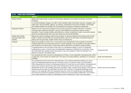| 3.4.2. LAND USE CATEGORIES                                      |                                                                                                                                                                                                                                                                                                                                                                                                                                                                                                                                                                                                                                                                                                                                                                                                                                                                                                                           |                             |  |  |  |  |  |
|-----------------------------------------------------------------|---------------------------------------------------------------------------------------------------------------------------------------------------------------------------------------------------------------------------------------------------------------------------------------------------------------------------------------------------------------------------------------------------------------------------------------------------------------------------------------------------------------------------------------------------------------------------------------------------------------------------------------------------------------------------------------------------------------------------------------------------------------------------------------------------------------------------------------------------------------------------------------------------------------------------|-----------------------------|--|--|--|--|--|
| <b>PDP Category</b>                                             | <b>Definition</b>                                                                                                                                                                                                                                                                                                                                                                                                                                                                                                                                                                                                                                                                                                                                                                                                                                                                                                         | <b>DC Land Use Category</b> |  |  |  |  |  |
| <b>Airport Activity</b>                                         | Means land used wholly or partly for the landing, departure, and surface movement of aircraft,<br>including:                                                                                                                                                                                                                                                                                                                                                                                                                                                                                                                                                                                                                                                                                                                                                                                                              |                             |  |  |  |  |  |
|                                                                 | d. terminal buildings, hangars, air traffic control facilities, flight information services, navigation and<br>safety aids, rescue facilities, lighting, car parking, maintenance and service facilities, fuel storage<br>and fuelling facilities and facilities for the handling and storage of hazardous substances                                                                                                                                                                                                                                                                                                                                                                                                                                                                                                                                                                                                     |                             |  |  |  |  |  |
| <b>Education Activity</b>                                       | Means the use of land and buildings for the primary purpose of regular instruction or training<br>including early childhood education, primary, intermediate and secondary schools, tertiary<br>education. It also includes ancillary administrative, cultural, recreational, health, social and medical<br>services (including dental clinics and sick bays) and commercial facilities.                                                                                                                                                                                                                                                                                                                                                                                                                                                                                                                                  | Other                       |  |  |  |  |  |
| <b>Health Care Facility</b><br>(includes Aged Care<br>Facility) | Means land and/or buildings used for the provision of services relating to the physical and mental<br>health of people and animals but excludes facilities used for the promotion of physical fitness or<br>beauty such as gymnasia, weight control clinics or beauticians.                                                                                                                                                                                                                                                                                                                                                                                                                                                                                                                                                                                                                                               |                             |  |  |  |  |  |
| Hospital                                                        | Means any building in which two or more persons are maintained for the purposes of receiving<br>medical treatment; and where there are two or more buildings in the occupation of the same person<br>and situated on the same piece of land they shall be deemed to constitute a single building.                                                                                                                                                                                                                                                                                                                                                                                                                                                                                                                                                                                                                         |                             |  |  |  |  |  |
|                                                                 | A residential flat for the purposes of this policy is a residential building or part of a residential<br>building that is used, or can be used as independent residence containing its own kitchen, living<br>and toilet bathroom facilities that is secondary to the main residence. Note: the definition of a<br>kitchen comes from the District Plan.                                                                                                                                                                                                                                                                                                                                                                                                                                                                                                                                                                  | <b>Residential Flat</b>     |  |  |  |  |  |
|                                                                 | Any development that involves the development of three or more residential units/apartments within<br>a single site, with at least one shared wall. This does not include additions, alterations or accessory<br>buildings.                                                                                                                                                                                                                                                                                                                                                                                                                                                                                                                                                                                                                                                                                               | Multi-Unit Residential      |  |  |  |  |  |
|                                                                 | Any development that involves the redevelopment of an existing residential dwelling unit, flat or<br>multi-unit residential apartment that is converted to short or long term visitor accommodation.<br>When assessing the number of dwelling equivalents for mixed use accommodation, the assessment<br>will be done using the gross floor area of the development and the mixed use accommodation<br>differentials shown in the dwelling equivalent calculation table. Credits will be based on the existing<br>demand as per the table of credit types, however the conversion of residential dwellings will be<br>based on the dwelling's GFA and calculated using the multi-unit residential land use differential -<br>post demand will then be assessed using the mixed use accommodation differential. This method<br>more clearly defines the impact of redevelopment from residential to visitor accommodation. | Mixed Use Accommodation     |  |  |  |  |  |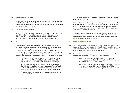#### 3.4.3. Non-Residential Subdivision

Subdivided lots zoned for Visitor Accommodation only shall be assessed under the Visitor Accommodation land use category. All other nonresidential subdivisions shall be assessed under the General Commercial land use category at this stage.

#### 3.4.4. Estimated Gross Floor Area

Where the GFA is unknown, which is often the case for a non-residential subdivision, Development Contribution Officers will reference the table under *2.2.3. Non-residential development (includes Visitor Accommodation)* to estimate the future GFA of the development.

#### 3.4.5. Special Assessments

Developments sometimes generate a significantly different demand on infrastructure than can usually be expected under the relevant land use category. This may include a development that Council deems not to fit into the land use categories shown in *3.4.1. Dwelling Equivalent Calculation Table.* Council may decide to make a special assessment of the DEs applicable to the development. Council will evaluate the need for a special assessment for one or more activities where it considers that:

- > The development is likely to have less than half or more than twice the demand<sup>7</sup> for an activity listed in 3.5.3. Water, 3.5.4. *Wastewater 3.5.5. Transportation* for that development type; or
- > A non-residential development does not fit into an Industrial dry, Industrial – wet, General Commercial, Large Format Retail, Restaurant/Bar, Child-Care Centre or Visitor Accommodation, land use and must be considered under another category; or
- > Where the gross floor area of a non-residential development is less than 30% of the site area.

The demand measures in *3.5. Basis of Differentials* will be used to help guide special assessments.

If a special assessment is sought, Council may require the developer to provide information on the demand for community facilities generated by the development. Council may also carry out its own assessment for any development and may determine the applicable development contributions based on its estimates.

Where possible the development will be assessed as a building, as opposed to the initial business being operated from the building. The nature of businesses can change over time, often outside the triggers of the development contributions policy.

#### 3.5. BASIS OF DIFFERENTIALS

- 3.5.1. The differentials reflect the demand of a development type relative to a residential dwelling. A standard residential allotment of dwelling is always assessed as 1 DE. The underlying assumptions and the source for the other differentials are outlined in the tables below.
- 3.5.2. The following land use categories are not included in the tables below as they are calculated based on other land use differential(s):
	- > Multi-Unit Residential and Residential Flat converted on a GFA basis assuming the typical house is 180m<sup>2</sup>. This figure is taken from the QLDC Rating Database.
	- > Mixed Use Visitor Accommodation and Mixed Use Commercial – these are based on 75% Residential and 25% Visitor Accommodation (40m<sup>2</sup> per stay unit) and General Commercial.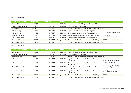#### 3.5.3. Water Supply

| <b>LAND USE CATEGORY</b>  | <b>DEMAND</b> | <b>LITRES PER DAY PER</b>        |                | <b>SOURCE ASSUMPTIONS</b>                                                    |                         |
|---------------------------|---------------|----------------------------------|----------------|------------------------------------------------------------------------------|-------------------------|
| Residential               | 1.500         | house                            | NZS4404        | 3 pax per house, 250L/day, Peak Factor = $2.0$                               |                         |
| Visitor Accommodation     | 500           | stay unit                        | NZS4404        | 2 pax per stay unit @250L/day                                                |                         |
| <b>Retirement Units</b>   | 600/900       | 1 <sub>br</sub> /2 <sub>br</sub> |                | Previous policy based on historical special assessments                      |                         |
| Industrial - dry          | 140           | 100m <sup>2</sup> GFA            | NZS4404        | Light industrial/commercial WW design flows                                  |                         |
| Industrial - wet          | 450           | 100m <sup>2</sup> GFA            | NZS4404        | Heavy industrial/commercial WW design flows                                  | > 10% loss/ consumption |
| General Commercial        | 240           | 100m <sup>2</sup> GFA            | NZS4404        | Medium industrial/commercial WW design flows                                 | > 55% site coverage     |
| Large Format Retail       | 140           | 100m <sup>2</sup> GFA            | NZS4404        | Light industrial/commercial WW design flows                                  |                         |
| Restaurant/Bar            | 2,230         | 100m <sup>2</sup> GFA            | Design reports | Cardrona WS/WW design assumptions @16.5L/pax and 1.35 pax per m <sup>2</sup> |                         |
| <b>Child-Care Centres</b> | 825           | 100m <sup>2</sup> GFA            |                | Previous policy based on historical special assessments                      |                         |

#### 3.5.4. Wastewater

| <b>LAND USE CATEGORY</b>  | <b>DEMAND</b> | <b>LITRES PER DAY PER</b> | <b>SOURCE</b>  | <b>ASSUMPTIONS</b>                                                           |                                                                |  |
|---------------------------|---------------|---------------------------|----------------|------------------------------------------------------------------------------|----------------------------------------------------------------|--|
| Residential               | 1,000         | house                     | NZS4404        | 3 pax per house, 250L/day, Peak Factor = 1.3                                 |                                                                |  |
| Visitor Accommodation     | 500           | stay unit                 | NZS4404        | 2 pax per stay unit @250L/day                                                |                                                                |  |
| <b>Retirement Units</b>   | 385/580       | 1br/2br                   |                | Previous policy based on historical special assessments                      |                                                                |  |
| Industrial - dry          | 125           | 100m <sup>2</sup> GFA     | <b>NZS4404</b> | Light industrial/commercial WW design flows<br>(0.4L/s/Ha)                   | > Excluding diurnal peak                                       |  |
| Industrial - wet          | 410           | 100m <sup>2</sup> GFA     | NZS4404        | Heavy industrial/commercial WW design flows<br>(1.3L/s/Ha)                   | hour factor (2.5)<br>> Excluding I&I peaking<br>factor $(2.0)$ |  |
| General Commercial        | 220           | 100m <sup>2</sup> GFA     | NZS4404        | Medium industrial/commercial WW design flows<br>(0.7L/s/Ha)                  |                                                                |  |
| Large Format Retail       | 125           | $100m^2$ GFA              | NZS4404        | Light industrial/commercial WW design flows<br>(0.4L/s/Ha)                   | > 55% site coverage                                            |  |
| Restaurant/Bar            | 2,025         | 100m <sup>2</sup> GFA     | Design reports | Cardrona WS/WW design assumptions @16.5L/pax and 1.35 pax per m <sup>2</sup> |                                                                |  |
| <b>Child-Care Centres</b> | 740           | 100m <sup>2</sup> GFA     |                | Previous policy based on historical special assessments                      |                                                                |  |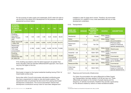For the purpose of water supply and wastewater, QLDC retain the right to use the size of the lateral into a development for the purpose of a special assessment as shown below:

| <b>INTERNAL</b><br><b>DIAMETER</b><br><b>OF WATER</b><br><b>CONNECTION</b><br>(MM) | 20    | 25    | 32    | 40    | 50    | 100    | 150    |
|------------------------------------------------------------------------------------|-------|-------|-------|-------|-------|--------|--------|
| <b>Dwelling</b><br>equivalent-<br><b>Water Supply</b><br>(DE)                      | 1.00  | 1.56  | 2.56  | 4.00  | 6.25  | 25.00  | 56.25  |
| Water demand@<br>1,500L//DE                                                        | 1,500 | 2,340 | 3,840 | 6,000 | 9,375 | 37,500 | 84,375 |
| Wastewater<br>demand@<br>10% loss/<br>consumption                                  |       | 2,106 | 3,456 | 5,400 | 8,438 | 33,750 | 75,938 |
| <b>Dwelling</b><br>equivalent -<br>Wastewater (DE)<br>@1,000L/DE                   | 1.00  | 2.10  | 3.50  | 5.40  | 8.40  | 33.80  | 75.90  |

If the dwelling equivalents under the lateral approach are greater than those calculate under the standard differential/GFA approach, then QLDC may levy the higher of the two.

#### 3.5.5. Stormwater

Stormwater is based on the typical residential dwelling having 270m² of impermeable surface area.

Some sites within Council's stormwater reticulated contributing area also have a requirement to install on-site stormwater systems. This requirement does not preclude the land owner from paying stormwater development contributions. The Council downstream network that development contributions recoup costs for have been designed and

installed to cater for large storm events. Therefore, the stormwater contribution is in addition to any costs associated with any on-site development undertaken.

3.5.6. Transportation

| <b>LAND USE</b><br><b>CATEGORY</b> | <b>DEMAND</b>  | <b>VEHICLE</b><br><b>MOVEMENTS</b><br><b>PER DAY</b><br>(VPD) PER | <b>SOURCE</b>                      | <b>ASSUMPTIONS</b>                                            |
|------------------------------------|----------------|-------------------------------------------------------------------|------------------------------------|---------------------------------------------------------------|
| Residential                        | 9              | House                                                             | Abley design<br>paper <sup>8</sup> |                                                               |
| Visitor<br>Accommodation           | 3              | stay unit                                                         | Abley design<br>paper              | Visitor<br>Accommodation                                      |
| Retirement<br>Units                | 1.7/2.6        | 1 <sub>br</sub> /2 <sub>br</sub>                                  |                                    | Previous policy<br>based on historical<br>special assessments |
| Industrial – dry                   | $\overline{4}$ | 100m <sup>2</sup> GFA                                             | Abley design<br>paper              | Warehouses                                                    |
| Industrial - wet                   | 9              | 100m <sup>2</sup> GFA                                             | Abley design<br>paper              | Industrial                                                    |
| General<br>Commercial              | 18             | 100m <sup>2</sup> GFA                                             | Abley design<br>paper              | Commercial                                                    |
| Large Format<br>Retail             | 12             | 100m <sup>2</sup> GFA                                             | Abley design<br>paper              | Commercial - retail<br>up to 10,000m <sup>2</sup>             |
| Restaurant/Bar                     | 18             | 100m <sup>2</sup> GFA                                             | Abley design<br>paper              | Commercial                                                    |
| Child-Care<br>Centres              | 32             | 100m <sup>2</sup> GFA                                             |                                    | Previous policy<br>based on historical<br>special assessments |

### 3.5.7. Reserves and Community Infrastructure

For Visitor Accommodation the same differential as Water Supply and Transportation has been applied; 0.33 DE per stay unit. These differentials are based on the number of people staying and the frequency of vehicles movements, therefore they provide a good proxy for the demand created by visitors on these recreational assets.

<sup>&</sup>lt;sup>8</sup> Trip Generation Research and Household Unit Equivalent Units, Abley, July 2020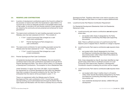#### 3.6. RESERVE LAND CONTRIBUTIONS

- 3.6.1. A portion of development contributions paid to the Council is utilised for the provision of reserve land within the Queenstown Lakes District. It is Council's aim to have an adequate provision of accessible reserve land of high quality 'to provide a rich and diverse network of open spaces that are valued by the community and are protected and enhanced for future generations'9 .
- 3.6.2. The reserve land contribution for each dwelling equivalent across the Wakatipu area has been assessed at 22.5m². This consists of:
	- > 17.5m² Local & Community Park (charged as a cash and/or land contribution)
	- > 5m<sup>2</sup> Premier Sportsground Park (charged as a cash contribution)
- 3.6.3. The reserve land contribution for each dwelling equivalent across the Wānaka area has been assessed at 17.5m² . This consists of:
	- > 17.5m<sup>2</sup> Local & Community Park (charged as a cash or land contribution)
- 3.6.4. Premier Sportsground Park Cash Contribution

All residential developments within the Wakatipu Area are required to contribute reserve land cash contributions equivalent to 5m² per DE for Premier Sportsground Parks. This value is shown within *3.3.3 Schedule of Development Contributions*. The exception to this is Residential Flats.

Under Schedule 13 clause 1(2) of the LGA 2002, Council identifies the requirement for a Premier Sportsground Park within the Wakatipu Area that is outside of the period covered by the Ten Year Plan. It is anticipated that this reserve will be purchased in years 11-12.

There is no requirement within the Wānaka area for Premier Sportsground Park cash contribution of 5m². Council has recently rezoned existing council administered land through the District Plan as Open Space and Recreation with the intent to develop this as a Premier Sportsground Park. Therefore while there is the need to provide a new Premier Sportsground Park there is no need to acquire additional land.

3.6.5. Local/Community Park Reserve Contribution Requirement

For Residential Development (Residential, Multi-Unit Residential, Retirement Units)

- A. Local/community park reserve contributions are not required where sites:
	- > are located within Areas A designated by the Parks and Reserves Contributing Area Maps (see supporting documents)

*Note: There is sufficient provision of Local/Community Park Reserve Land in mapped Area A, therefore no charge is required.*

- B. Local/Community Park reserve contributions are required where sites:
	- > are located within Area B designated by the Parks and Reserves Contributing Area Maps (see supporting documents) and/or within Urban Growth Boundaries as defined by the District Plan

*Note: Areas designated as Area B, have been identified as high growth areas where there is insufficient provision of Local/ Community Park reserve land, therefore, a Development Contribution towards increasing this provision will be charged.*

- C. Local/Community Park reserve contributions are required where sites:
	- > are located within Area C (neither Area A or B and/or within Urban Growth Boundaries) designated by the Parks and Reserves Contributing Area Maps (see supporting documents); and
	- > have residential development density <2000m²/DE post development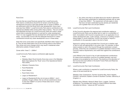#### Rural Zone

Any lots that are zoned Rural are exempt from Local/Community Park reserve contributions should the lot remain zoned Rural post development and have a land area greater than or equal to 2000m². If any allotments within the Rural Zone, post development, have a land area less than 2000m², Local/Community Park reserve contributions are required (as detailed within *Zones within Area C* below). This is to ensure that adequate provision for Local/Community Parks are made in areas where there is potential demand on rural land for urban development. This in no way suggests that any development will be approved in these areas – but provides Council with the adequate framework to collect contributions should any urban development occur in these areas.

Note that *some* zones below are specifically identified within Areas A and B. They are also listed below due to the evolving nature of the District Plan review and zone changes which may result in residential urban allotments outside of Areas A and B.

#### Zones within 'Area C' < 2000m²

Local/Community Parks reserve contributions are required.

- > Rural
- > Wakatipu Basin Rural Amenity Zone (new zone in the Wakatipu Basin that replaces the 'Rural' zone of the Operational District Plan (ODP))
- > Gibbston Character Zone
- > Rural Residential
- > Rural Lifestyle
- > Rural Visitor Zone
- > Large Lot Residential A
- > Large Lot Residential B (the min lot size is 4000m² but it possible, though unlikely, that we will see subdivisions down to less than 2000m² on some of these sites due to 'unique circumstances')
- > Any other zone that is not listed above but results in allotments that have been subdivided for residential purposes with an area of less than 2000m². The requirement will also apply to sites that have not been subdivided but the density per residential unit is greater than one unit per 2000m².
- 3.6.6. Local/Community Park-Land Contribution

At the Council's discretion the reserves land contribution relating to Local/Community Parks can be either land or cash or a combination of both. Consultation with Council is required prior to an application for an outline development plan, a plan change, a resource or building consent being lodged. In some instances, Council may accept or require a contribution to the equivalent value in the form of land.

Approval in writing must be provided from Council as to whether cash or land or both are appropriate in any given case. For example, to allow reserve assets to vest in the Council through the subdivision consent process, where they are considered of a suitable standard in terms of the Council's reserve requirements, and credit them against the contributions required.

Land offered to the Council in lieu of cash development contributions for reserve land acquisition must be of a suitable standard, size and purpose to be accepted by the Council. This shall be at the discretion of the Council and must adhere to the QLDC Future Parks and Reserves Provision Plan 2021.

#### 3.6.7. Local/Community Park-Cash Contribution

Where a cash contribution is required for Local/Community Parks, the value of the land shall fall into

Wakatipu Area: Queenstown, Fernhill, Sunshine Bay, Kelvin Heights, Frankton, Arrowtown; Eastern Corridor & Southern Corridor; Glenorchy & Kingston; or

Wānaka Area: Wānaka; Hāwea & Albert Town; Luggate, Cardrona & Makarora. The average land values for these locations have been calculated as follows – values are GST exclusive: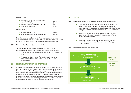#### Wakatipu Area:

| Queenstown, Fernhill, Sunshine Bay,                                |                      |
|--------------------------------------------------------------------|----------------------|
| Kelvin Heights, Frankton, Arrowtown                                | \$721/m <sup>2</sup> |
| > Eastern Corridor <sup>10</sup> & Southern Corridor <sup>11</sup> | \$657/m <sup>2</sup> |
| > Glenorchy & Kingston                                             | \$278/m <sup>2</sup> |

Wānaka Area:

| > Wānaka & Albert Town                | \$656/m <sup>2</sup> |
|---------------------------------------|----------------------|
| > Luggate, Cardrona, Hāwea & Makarora | \$263/m <sup>2</sup> |

Note that where Local/Community Park reserve contributions are required outside of the valued areas in this section, the land value will be based on the valued area closest in distance to the development.

3.6.8. Maximum Development Contributions for Reserve Land

Section 203 of the LGA 2002 prohibits Council from charging development contributions for reserves that exceed the greater of:

- > 7.5% of the value of the additional lots created by a subdivision; and
- > The value equivalent of 20m<sup>2</sup> of land for each additional household unit or accommodation unit created by the development.

#### 3.7. RESERVE IMPROVEMENT CONTRIBUTIONS

3.7.1. A portion of development contributions paid to the Council is utilised for the improvement of reserve land within the Queenstown Lakes District. In some instances, Council may accept or require a contribution to the equivalent value in the form of infrastructure. Agreement and approval in writing must be provided from Council in respect of any Reserve Improvement infrastructure being provided, and evidence of expenditure for Reserve Improvements must be presented to Council to offset the development contributions levy for Reserve Improvements.

#### 3.8. CREDITS

- 3.8.1. Considerations apply to all development contribution assessments:
	- > The existing demand of any lot that is to be developed will be converted to a DE credit when assessing development contributions. Development contributions payable therefore are solely for additional demand created by the new development.
	- > Credits will be specific to the activity for which they were paid (i.e. a water supply credit will not be able to offset a wastewater contribution).
	- > Credits are to be site specific (not transferable) and nonrefundable unless the refund provisions of the Act apply (see *3.10.1. Refunds*).
- 3.8.2. Three credit types that may be applied:



<sup>10</sup> Shotover Country, Lake Hayes Estate, Bridesdale & Ladies Mile

<sup>11</sup> All land between the new Kawarau Bridge and Lakeside Estate including Coneburn, Jacks Point, Homestead Bay, Hanley Farm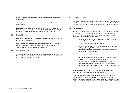Existing Credits: Redevelopment of lots with an existing demand on infrastructure.

Actual Credits: Vacant lots that have already paid development contributions.

Deemed Credits: Vacant lots that existed and had rights to develop prior to 1 July 2004 and have not paid DCs. Deemed credits do not apply to vacant lots where no right to build existed prior to 1 July 2004.

#### 3.8.3. Deemed Credits

Residential: Deemed credits where applicable will be calculated as 1DE per residential vacant lots.

Non-Residential: Deemed credits where applicable will be calculated as per *2.2.1.2. Non-residential development (includes Visitor Accommodation)* for non-residential vacant lots.

#### 3.8.4. Amalgamated Credits

Any credits that are identified as a result of an amalgamation of individual titles will accrue on the new amalgamated title. These will lapse if not utilised within a period of three years.

#### 3.9. REVIEW PROCESS

Developers are entitled under the LGA 2002 to request a reconsideration or lodge a formal objection if they believe Council has made a mistake in assessing the level of development contributions for their development.

3.9.1. Reconsideration

Reconsideration requests are a process that formally requires Council to reconsider its assessment of the development contributions for a development. A request for reconsideration can be made where the developer has grounds to believe that:

- > The development contribution was incorrectly calculated or assessed under the Policy; or
- > Council incorrectly applied the Policy; or
- > The information used to assess the development against the Policy, or the way that Council has recorded or used that information when requiring a development contribution, was incomplete or contained errors.

To seek a reconsideration, the developer must:

- > Lodge the reconsideration request within 10 working days of receiving the development contribution notice.
- > Use the reconsideration form (found on https://www.qldc. govt.nz/do-it-online/submit-an-application/developmentcontribution-costs-request-for-reconsideration) and supply any supporting information with the form.

Applications with insufficient information will be returned to the applicant, with a request for additional information.

Once Council has received all required information, the request will be considered by an appropriate Council officer. Notice of Council's decision will be available within 15 working days from the date on which Council receives all required relevant information relating to the request.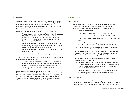#### 3.9.2. Objection

Objections are a more formal process that allow developers to seek a review of the Council's decision. A panel of up to three independent commissioners will consider the objection. The decision of the commissioners is binding on the developer and Council, although either party may seek a judicial review of the decision.

Objections may only be made on the grounds that Council has:

- > Failed to properly take into account features of the development that, on their own or cumulatively with those of other developments, would substantially reduce the impact of the development on requirements for community facilities in the District or parts of the District; or
- > Required a development contribution for community facilities not required by, or related to, the development, whether on its own or cumulatively with other developments; or
- > Required a development contribution in breach of section 200 of the LGA 2002; or
- > Incorrectly applied the Policy to the development.

Schedule 13A of the LGA 2002 sets out the objection process. To pursue an objection, the developer must:

- > Lodge the request for an objection within 15 working days of receiving the outcome of any request for a reconsideration by emailing development.contributions@qldc.govt.nz; and
- > Supply any supporting information within the email.

Objectors are liable for all costs incurred in the objection process including staff arranging and administering the process, commissioner's time, and other costs incurred by Council associated with any hearings such as room hire and associated expenses, as provided by section 150A of LGA 2002. However, objectors are not liable for the fees and allowances costs associated with any Council witnesses.

#### OTHER MATTERS

#### 3.9.3. Refunds

Sections 209 and 210 of the LGA 2002 state the circumstances where development contributions must be refunded, or land returned. In summary, Council will refund development contributions paid if:

- > The resource consent:
	- o lapses under section 125 of the RMA 1991; or
	- o is surrendered under section 138 of the RMA 1991; or
- > The building consent lapses under section 52 of the Building Act 2004; or
- > The development or building in respect of which the resource consent or building consent was granted does not proceed; or
- > Council does not provide the reserve or network infrastructure for which the development contributions were required.

Council may retain any portion of a development contribution referred to above of a value equivalent to the costs incurred by the Council in relation to the development or building and its discontinuance.

Council may retain a portion of a development contribution (or land) refunded of a value equivalent to:

- > Any administrative and legal costs it has incurred in assessing, imposing, and refunding a development contribution or returning land for network infrastructure or community infrastructure development contributions.
- > Any administrative and legal costs it has incurred in refunding a development contribution or returning land for reserve development contributions.
- 3.9.4. Postponements

Postponement of development contribution payment will only be permitted at Council's discretion. Where payment is postponed, Council will require a Statutory Land Charge equal in value to the payment owed.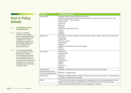## Part 4: Policy **Details**

#### 4.1. CONTRIBUTING AREA **DETERMINATION**

- 4.1.1. Under the LGA 2002, Council has set charges based on geographical area. These grouping have been completed in a manner that balances practical and administrative efficiencies with considerations of fairness and equity.
- 4.1.2. The underlying approach groups development within each distinct 3-waters network/scheme and uses a ward based approach for the transportation, reserve and community infrastructure contributions. This and any exceptions are summarised in the table below.

| <b>ACTIVITY</b>          | <b>CONTRIBUTING AREA</b>                                                                                                                                                                                                                                                                                     |
|--------------------------|--------------------------------------------------------------------------------------------------------------------------------------------------------------------------------------------------------------------------------------------------------------------------------------------------------------|
| Water supply             | Grouped under the following distinct networks:<br>Queenstown (includes Southern Corridor, Quail Rise, Ladies Mile, Shotover Country, Lake<br>Hayes, Frankton, Kelvin Heights)<br><b>Arthurs Point</b><br>Arrowtown<br>Glenorchy<br>Kingston<br>Wānaka (includes Albert Town)<br>Hāwea<br>Luggate<br>Cardrona |
| Wastewater               | Queenstown (includes Southern Corridor, Frankton, Kelvin Heights, Arthurs Point, Quail Rise)<br>Arrowtown *<br>Ladies Mile *<br>Shotover Country *<br>Lakes Hayes *<br>Kingston<br>Wānaka (includes Albert Town and Luggate)<br>Hāwea<br>Cardrona                                                            |
| Stormwater               | Queenstown<br><b>Frankton Flats</b><br>Arrowtown<br>Glenorchy<br>Kingston<br>Ladies Mile #<br>Wānaka<br>Hāwea<br>Albert Town<br>Luggate                                                                                                                                                                      |
| Transportation           | Wakatipu or Wānaka areas and the Eastern Access Road contributing area                                                                                                                                                                                                                                       |
| Reserve improvements     |                                                                                                                                                                                                                                                                                                              |
| Community Infrastructure | Wakatipu or Wānaka areas                                                                                                                                                                                                                                                                                     |
| Reserve land             | Wakatipu or Wānaka areas in locations where more reserve land is required - see Contributing<br>Area Maps in Supporting Documents                                                                                                                                                                            |
| Notes:                   | * These contributing areas are separated for wastewater as they have existing legacy funding<br>agreements. They all pay an equitable portion of the Shotover Ponds treatments costs.<br># This contribution will be defined once the masterplan is finalised.                                               |
|                          |                                                                                                                                                                                                                                                                                                              |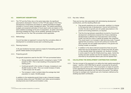#### 4.2. SIGNIFICANT ASSUMPTIONS

4.2.1. The TYP and the Policy rely on the same base data, the significant assumptions disclosed in Volume 2 of the TYP also apply to this Policy. Development contributions are based on capital expenditure budgets included in Council's asset management plans. The capital expenditure budgets and projected estimates of future asset works are based on the best available knowledge at the time of preparation. As better information becomes available the Policy will be updated, generally through the Annual Plan and Ten Year Plan processes where applicable.

#### 4.2.2. Methodology

Council has taken an approach to ensure that the cumulative effect of development is considered across each contributing area.

4.2.3. Planning horizons

A 30 year timeframe has been used as a basis for forecasting growth and growth related assets and programmes.

#### 4.2.4. Projecting growth

The growth projections used for the 2021 TYP are summarised below:

- > Strong resident population growth, increasing to nearly 77,500 people by 2051. This is near doubling of the projected 2021 starting point.
- > Continued growth in the number of houses, increasing to over 39,300 houses by 2051. This is an overall increase of nearly 17,000 houses over 30 years.
- > The increase in visitor numbers takes the average day total population to nearly 120,000 people

In addition to the residential growth there is also a forecast increase in business rating units (over  $750,000$ m<sup>2</sup>) and visitor accommodation developments (over 6,500 accommodation units).

#### 4.2.5. Key risks / effects

There are two key risks associated with administering development contributions, and the resulting effects are:

- > That growth predictions do not eventuate, resulting in a change to the assumed rate of development. Council will continue to monitor the rate of growth and will update assumptions in the growth and funding predictions, as required.
- > That the time lag between expenditure incurred by Council and development contributions received from those undertaking developments is different from that assumed in the funding model, and that the costs of capital are greater than expected. This would result in an increase in debt servicing costs. To guard against that occurrence, Council will continue to monitor the rate of growth and will update assumptions in the growth and funding models, as required.
- > In addition to the above demand projections there are some areas that may be developed over a longer time than 30 years, or may develop faster than projected, e.g. Southern Corridor. In some cases for long life infrastructure (e.g. pipes, mains) the funding has been spread over the full capacity of an area as informed by the proposed district plan and the Spatial Plan<sup>12</sup>.

#### 4.3. CALCULATING THE DEVELOPMENT CONTRIBUTION CHARGES

4.3.1. The key concept of the approach is to define the total capital expenditure (capex – real \$s or 2021/2022 \$s) for growth consumed by the growth population over a period of time. This consumption of capex for growth is then apportioned among the increased number of household units of demand (dwelling equivalents) over the same time period. This defines the long run average cost of growth per unit of demand, defined as the dwelling equivalent contribution.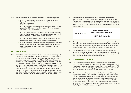- 4.3.2. The calculation method can be summarised by the following steps:
	- > STEP 1: Assess capital expenditure for growth on an asset by asset basis using financial reports (past expenditure) and projected expenditure.
	- > STEP 2: Apportion capital expenditure for growth by the growth population (DEs) over the design/capacity life of the asset, to assess the \$/unit of demand.
	- > STEP 3: For each year in the analysis period determine the total consumption of asset capacity for each asset identified, namely – \$/unit of demand x the number units of demand.
	- > STEP 4: Sum for all assets in each year in the analysis period, namely total capacity consumed in that year, measured in \$.
	- > STEP 5: Sum each year in the ten-year analysis period and divide by the growth population (new dwelling equivalents) projected over the analysis period to determine the dwelling equivalent contribution.

#### 4.4. GROWTH COSTS

4.4.1. Capital expenditure may be attributable to one or more factors: growth, changes to levels of service, statutory requirements, or asset renewal. Under this Policy all projects have been assessed to calculate a fair, equitable and proportionate portion of Council's infrastructure costs that can be attributed to growth. The growth costs reflect the cost that Council has or will incur because of growth. The growth-related costs are solely those required to meet the additional demand created by the effects (including cumulative effects) of all development within a given contributing area. This includes capacity in all up and downstream areas of the network, and not just the capacity in the locality of a given development. For example, the growth costs include the capacity in the headwork's assets such as treatment plants and storage assets.

4.4.2. Projects that were/are completed solely to address the demands of, and the benefits to, development, are considered to be 100% growth. Projects that were/are solely to replace existing assets or change levels of service are considered to be 0% growth. Projects that benefit both the existing community and the future community are apportioned using the following formula:

#### GROWTH % (DEMAND AT CAPACITY – DEMAND AT CONSTRUCTION) DEMAND AT CAPACITY =

- 4.4.3. Where possible the demand has been quantified using first principles, e.g. traffic flow, litres used, impermeable surface area (ISA). This ensures that only a fair, equitable and proportionate portion of the total costs is passed onto the future community via development contributions.
- 4.4.4. This approach can be used on projects where growth is not the main driver. For example, an upgrade to a wastewater treatment plant may be a combination of both level of service change for the existing community and provision of capacity for the future community.

#### 4.5. AVERAGE COST OF GROWTH

- 4.5.1. The development contributions are based on the long-term average cost of growth across a contributing area and reflect the average cost of infrastructure required to service new development for each activity. This includes those growth-related projects planned for in the future and also those growth-related projects that have already been completed.
- 4.5.2. The calculation method uses the capacity life of each asset to fairly apportion the growth costs across the capacity life of the asset created. This ensures that all developments that benefit from the growth-related capital expenditure contribute an equitable portion. This also ensures that the rate the capacity is consumed is considered in the calculation so that early and late developers do not pay an unfairly high proportion of the growth costs. This also means that not all growth costs incurred in the TYP period will be funded over that period.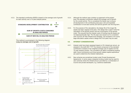4.5.3. The standard contribution (\$/DE) is based on the average cost of growth for each activity over a 10-year analysis period.



This method is summarised in the following diagram: Long run average cost of growth



- 4.5.4. Although the method uses a bottom up approach at the project level, the standard contribution reflects the average cost of growth for the overall activity. This is considered the fairest way to ensure all development in the contributing area pays a fair and equitable contribution to fund each activity and service growth over the long term.
- 4.5.5. For the purpose of the calculations, the design life of the longer life assets has been capped at 30 years. This design life is used in both the calculation of the growth portion and the consumption of the growth costs. This ensures that the interest costs of funding long life assets are not disproportionally high. The 30 years was chosen as it is consistent with Council's 30 Year Infrastructure Strategy. The exception is for some large reticulation assets where a design life of 50 years may be used.

#### 4.6. INTEREST CONSIDERATIONS

- 4.6.1. Interest costs have been assessed based on 3% interest per annum, as adopted in the draft 2021 TYP. The interest component of the standard contribution is based on the weighted average cost of capital over the 10-year analysis window. The cumulative net deficit considering existing debt, future contributions and future growth related capital expenditure are used to determine the interest implications.
- 4.6.2. New schemes are sometimes funded under Private Development Agreements. In some cases a bespoke funding model may be used for new schemes where the infrastructure is provided by a combination of Council and private developers, e.g. Cardrona wastewater.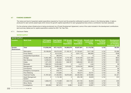#### 4.7 FUNDING SUMMARY

The nature and level of expected capital expenditure required by Council and the proportion attributed to growth is shown in the following tables. A table is produced for each activity (asset type) which shows the growth capital expenditure for each geographical area where a contribution has been assessed.

For the schemes where infrastructure is being provisioned via a Private Development Agreement, some of the costs included in the development contributions (and summary tables) are for capital expenditure outside the 2021 Ten Year Plan.

#### 4.7.1. Disclosure Tables

#### WATER SUPPLY

| <b>WATER SUPPLY</b>   |                                |                                          |                                            |                                                           |                                                             |                                                   |                                                                 |                                                                                 |
|-----------------------|--------------------------------|------------------------------------------|--------------------------------------------|-----------------------------------------------------------|-------------------------------------------------------------|---------------------------------------------------|-----------------------------------------------------------------|---------------------------------------------------------------------------------|
| <b>Location</b>       | <b>Work Code</b>               | <b>TYP Capital</b><br><b>Expenditure</b> | <b>Total Capital</b><br><b>Expenditure</b> | <b>TYP Growth</b><br><b>Capital</b><br><b>Expenditure</b> | <b>Total Growth</b><br><b>Capital</b><br><b>Expenditure</b> | <b>Growth costs</b><br>consumed -<br><b>TOTAL</b> | <b>Analysis Period</b><br><b>Dwelling</b><br><b>Equivalents</b> | <b>Development</b><br><b>Contribution</b><br>per Dwelling<br>Equivalent (\$/DE) |
| Greater<br>Queenstown | <b>Total</b>                   | 113,038,348                              | 187, 116, 272                              | 54,080,979                                                | 83,827,801                                                  | 21,119,795                                        | 4,742                                                           | \$4,454                                                                         |
|                       | Reticulation                   | 29,189,833                               | 65,075,229                                 | 21,183,101                                                | 37,703,461                                                  | 7,617,108                                         | 4,742                                                           | \$1,606                                                                         |
|                       | <b>Pump Station</b>            | 0                                        | 6,513,240                                  | 0                                                         | 3,021,710                                                   | 892,660                                           | 4,742                                                           | \$188                                                                           |
|                       | <b>Unspecified Expenditure</b> | $\Omega$                                 | 282,676                                    | $\Omega$                                                  | 0                                                           | $\Omega$                                          | 4,742                                                           | \$0                                                                             |
|                       | Storage                        | 13,952,486                               | 22,158,058                                 | 3,775,196                                                 | 9,540,406                                                   | 2,521,560                                         | 4,742                                                           | \$532                                                                           |
|                       | New Scheme                     | 6,458,043                                | 8,135,604                                  | 6,458,043                                                 | 7,417,195                                                   | 1,858,360                                         | 4,742                                                           | \$392                                                                           |
|                       | Intake                         | 1,371,378                                | 4,584,854                                  | 646,767                                                   | 1,668,484                                                   | 621,291                                           | 4,742                                                           | \$131                                                                           |
|                       | Renewals                       | 7,992,533                                | 15,033,966                                 | $\Omega$                                                  | 2,477                                                       | 1,446                                             | 4,742                                                           | \$0                                                                             |
|                       | Management                     | 10,953,034                               | 13,985,333                                 | 2,814,637                                                 | 3,228,230                                                   | 668,992                                           | 4,742                                                           | \$141                                                                           |
|                       | Conveyance                     | 0                                        | 74,090                                     | 0                                                         |                                                             | 0                                                 | 4,742                                                           | \$0                                                                             |
|                       | <b>Emergency Conveyance</b>    | 0                                        | 256,774                                    | 0                                                         | 72,454                                                      | $\Omega$                                          | 4,742                                                           | \$0                                                                             |
|                       | <b>Flow Metering</b>           | $\Omega$                                 | 473,895                                    | $\Omega$                                                  | 160,574                                                     | 29,701                                            | 4,742                                                           | \$6                                                                             |
|                       | <b>Treatment Facility</b>      | 41,787,522                               | 47,462,955                                 | 18,975,058                                                | 20,464,056                                                  | 6,739,980                                         | 4,742                                                           | \$1,421                                                                         |
|                       | Asset Management<br>System     | 0                                        | 1,110,186                                  | $\Omega$                                                  | 226,189                                                     | 48,628                                            | 4,742                                                           | \$10                                                                            |
|                       | Forward Design                 | 1,030,519                                | 1,174,569                                  | 222,118                                                   | 257,735                                                     | 84,840                                            | 4,742                                                           | \$18                                                                            |
|                       | <b>Minor Works</b>             | $\Omega$                                 | 127,634                                    | $\Omega$                                                  | 22,348                                                      | 14,392                                            | 4,742                                                           | \$3                                                                             |
|                       | Investigations                 | 303,000                                  | 667,210                                    | 6,060                                                     | 42,481                                                      | 20,837                                            | 4,742                                                           | \$4                                                                             |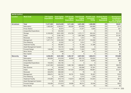| <b>WATER SUPPLY</b> |                                |                                          |                                            |                                                           |                                                             |                                                   |                                                                 |                                                                                 |
|---------------------|--------------------------------|------------------------------------------|--------------------------------------------|-----------------------------------------------------------|-------------------------------------------------------------|---------------------------------------------------|-----------------------------------------------------------------|---------------------------------------------------------------------------------|
| <b>Location</b>     | <b>Work Code</b>               | <b>TYP Capital</b><br><b>Expenditure</b> | <b>Total Capital</b><br><b>Expenditure</b> | <b>TYP Growth</b><br><b>Capital</b><br><b>Expenditure</b> | <b>Total Growth</b><br><b>Capital</b><br><b>Expenditure</b> | <b>Growth costs</b><br>consumed -<br><b>TOTAL</b> | <b>Analysis Period</b><br><b>Dwelling</b><br><b>Equivalents</b> | <b>Development</b><br><b>Contribution</b><br>per Dwelling<br>Equivalent (\$/DE) |
| Arrowtown           | <b>Total</b>                   | 11,917,535                               | 22,816,239                                 | 1,011,446                                                 | 3,491,226                                                   | 1,480,080                                         | 376                                                             | \$3,941                                                                         |
|                     | Reticulation                   | 1,900,000                                | 4,256,527                                  | 190,000                                                   | 878,695                                                     | 269,889                                           | 376                                                             | \$719                                                                           |
|                     | <b>Pump Station</b>            | 0                                        | 93,975                                     | 0                                                         | 21,877                                                      | 8,065                                             | 376                                                             | \$21                                                                            |
|                     | <b>Unspecified Expenditure</b> | $\Omega$                                 | 534,392                                    | $\Omega$                                                  | $\Omega$                                                    | $\Omega$                                          | 376                                                             | \$0                                                                             |
|                     | Storage                        | 6,160,000                                | 8,651,009                                  | 615,700                                                   | 1,272,117                                                   | 494,542                                           | 376                                                             | \$1,317                                                                         |
|                     | Intake                         | $\Omega$                                 | 3,484,195                                  | $\Omega$                                                  | 1,007,385                                                   | 548,859                                           | 376                                                             | \$1,461                                                                         |
|                     | Renewals                       | 1,730,491                                | 2,817,451                                  | $\Omega$                                                  | 1,612                                                       | 744                                               | 376                                                             | \$2                                                                             |
|                     | Management                     | 1,977,775                                | 2,294,083                                  | 195,148                                                   | 221,237                                                     | 120,006                                           | 376                                                             | \$320                                                                           |
|                     | <b>Flow Metering</b>           | 0                                        | 22,552                                     | $\mathbf 0$                                               | 5,914                                                       | 773                                               | 376                                                             | \$2                                                                             |
|                     | <b>Treatment Facility</b>      | 0                                        | 355,897                                    | $\mathsf 0$                                               | 51,185                                                      | 31,388                                            | 376                                                             | \$84                                                                            |
|                     | Asset Management System        | $\Omega$                                 | 149,103                                    | $\Omega$                                                  | 18,980                                                      | $\mathbf 0$                                       | 376                                                             | \$0                                                                             |
|                     | Forward Design                 | 149,269                                  | 154,410                                    | 10,598                                                    | 11,843                                                      | 5,625                                             | 376                                                             | \$15                                                                            |
|                     | Minor Works                    | 0                                        | 2,606                                      | 0                                                         | 381                                                         | 191                                               | 376                                                             | \$1                                                                             |
|                     | New Capital                    | $\Omega$                                 | 38                                         | $\Omega$                                                  | $\Omega$                                                    | $\Omega$                                          | 376                                                             | \$0                                                                             |
| Glenorchy           | <b>Total</b>                   | 4,538,303                                | 8,531,558                                  | 1,492,187                                                 | 2,927,053                                                   | 1,684,913                                         | 158                                                             | \$10,688                                                                        |
|                     | Reticulation                   | 363,600                                  | 916,329                                    | 93,809                                                    | 283,723                                                     | 128,655                                           | 158                                                             | \$816                                                                           |
|                     | <b>Pump Station</b>            | 0                                        | 86,348                                     | 0                                                         | 34,457                                                      | 10,933                                            | 158                                                             | \$69                                                                            |
|                     | <b>Unspecified Expenditure</b> | 153,553                                  | 334,165                                    | $\Omega$                                                  | $\Omega$                                                    | $\Omega$                                          | 158                                                             | \$0                                                                             |
|                     | Storage                        | 2,347,500                                | 3,929,656                                  | 1,082,198                                                 | 1,806,667                                                   | 1,099,778                                         | 158                                                             | \$6,976                                                                         |
|                     | New Scheme                     | $\Omega$                                 | 333,636                                    | $\Omega$                                                  | 128,386                                                     | 67,591                                            | 158                                                             | \$429                                                                           |
|                     | Intake                         | 425,000                                  | 852,538                                    | 107,525                                                   | 278,945                                                     | 168,861                                           | 158                                                             | \$1,071                                                                         |
|                     | Renewals                       | 333,976                                  | 560,560                                    | $\mathbf 0$                                               | 78                                                          | 45                                                | 158                                                             | \$0                                                                             |
|                     | Management                     | 289,674                                  | 392,781                                    | 60,761                                                    | 79,835                                                      | 30,487                                            | 158                                                             | \$193                                                                           |
|                     | <b>Flow Metering</b>           | $\Omega$                                 | 13,363                                     | $\Omega$                                                  | 5,313                                                       | 1,530                                             | 158                                                             | \$10                                                                            |
|                     | <b>Treatment Facility</b>      | 470,000                                  | 819,119                                    | 118,910                                                   | 238,439                                                     | 144,944                                           | 158                                                             | \$919                                                                           |
|                     | Asset Management System        | 0                                        | 20,255                                     | 0                                                         | 5,113                                                       | $\Omega$                                          | 158                                                             | $$0$                                                                            |
|                     | Forward Design                 | 155,000                                  | 272,619                                    | 28,985                                                    | 66,014                                                      | 32,046                                            | 158                                                             | \$203                                                                           |
|                     | Minor Works                    | 0                                        | 190                                        | $\mathbf 0$                                               | 83                                                          | 43                                                | 158                                                             | \$0                                                                             |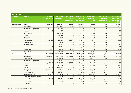| <b>WATER SUPPLY</b>  |                                |                                          |                                            |                                                           |                                                             |                                                   |                                                                 |                                                                                        |
|----------------------|--------------------------------|------------------------------------------|--------------------------------------------|-----------------------------------------------------------|-------------------------------------------------------------|---------------------------------------------------|-----------------------------------------------------------------|----------------------------------------------------------------------------------------|
| <b>Location</b>      | <b>Work Code</b>               | <b>TYP Capital</b><br><b>Expenditure</b> | <b>Total Capital</b><br><b>Expenditure</b> | <b>TYP Growth</b><br><b>Capital</b><br><b>Expenditure</b> | <b>Total Growth</b><br><b>Capital</b><br><b>Expenditure</b> | <b>Growth costs</b><br>consumed -<br><b>TOTAL</b> | <b>Analysis Period</b><br><b>Dwelling</b><br><b>Equivalents</b> | <b>Development</b><br><b>Contribution</b><br>per Dwelling<br><b>Equivalent (\$/DE)</b> |
| <b>Arthurs Point</b> | <b>Total</b>                   | 1,882,737                                | 6,797,970                                  | 425,807                                                   | 3,181,337                                                   | 727,233                                           | 390                                                             | \$1,867                                                                                |
|                      | Reticulation                   | 824,100                                  | 2,309,943                                  | 235,693                                                   | 1,259,511                                                   | 317,425                                           | 390                                                             | \$815                                                                                  |
|                      | <b>Unspecified Expenditure</b> | 293,169                                  | 437,480                                    | 0                                                         | $\Omega$                                                    | $\Omega$                                          | 390                                                             | \$0                                                                                    |
|                      | Storage                        | 0                                        | 1,874                                      | 0                                                         | 903                                                         | 473                                               | 390                                                             | \$1                                                                                    |
|                      | New Scheme                     | 0                                        | 1,754,082                                  | 0                                                         | 1,259,741                                                   | 90,693                                            | 390                                                             | \$233                                                                                  |
|                      | Intake                         | 0                                        | 348,393                                    | 0                                                         | 128,466                                                     | 64,744                                            | 390                                                             | \$166                                                                                  |
|                      | Renewals                       | 0                                        | 429,704                                    | 0                                                         | $\mathbf 0$                                                 | $\Omega$                                          | 390                                                             | \$0                                                                                    |
|                      | Management                     | 650,468                                  | 715,969                                    | 166,079                                                   | 187,254                                                     | 87,734                                            | 390                                                             | \$225                                                                                  |
|                      | Flow Metering                  | 0                                        | 5,001                                      | 0                                                         | $\Omega$                                                    | $\Omega$                                          | 390                                                             | \$0                                                                                    |
|                      | <b>Treatment Facility</b>      | 0                                        | 245,355                                    | 0                                                         | 107,219                                                     | 58,178                                            | 390                                                             | \$149                                                                                  |
|                      | Asset Management System        | 0                                        | 116,711                                    | $\Omega$                                                  | 54,845                                                      | $\Omega$                                          | 390                                                             | \$0                                                                                    |
|                      | Forward Design                 | 115,000                                  | 115,702                                    | 24,035                                                    | 24,263                                                      | 11,965                                            | 390                                                             | \$31                                                                                   |
|                      | <b>Minor Works</b>             | 0                                        | 317,756                                    | $\Omega$                                                  | 159,136                                                     | 96,021                                            | 390                                                             | \$246                                                                                  |
| Wānaka               | <b>Total</b>                   | 89,444,261                               | 122,622,097                                | 31,169,459                                                | 46,411,640                                                  | 16,836,937                                        | 2,394                                                           | \$7,034                                                                                |
|                      | Reticulation                   | 20,837,897                               | 29,179,237                                 | 6,713,795                                                 | 10,481,796                                                  | 3,409,666                                         | 2,394                                                           | \$1,424                                                                                |
|                      | <b>Pump Station</b>            | 1,636,200                                | 2,623,781                                  | $\Omega$                                                  | 434,870                                                     | 160,477                                           | 2,394                                                           | \$67                                                                                   |
|                      | <b>Unspecified Expenditure</b> | 0                                        | 2,076,155                                  | $\overline{0}$                                            | $\Omega$                                                    | $\Omega$                                          | 2,394                                                           | \$0                                                                                    |
|                      | Storage                        | 3,942,744                                | 17, 151, 975                               | 1,496,743                                                 | 11,097,264                                                  | 3,785,447                                         | 2,394                                                           | \$1,581                                                                                |
|                      | Intake                         | 0                                        | 737,667                                    | 0                                                         | 315,613                                                     | 111,552                                           | 2,394                                                           | \$47                                                                                   |
|                      | Renewals                       | 4,774,314                                | 8,662,736                                  | 0                                                         | 835                                                         | 472                                               | 2,394                                                           | \$0                                                                                    |
|                      | Management                     | 8,064,489                                | 8,672,616                                  | 3,558,650                                                 | 3,676,966                                                   | 1,085,110                                         | 2,394                                                           | \$453                                                                                  |
|                      | Flow Metering                  | 0                                        | 217,293                                    | 0                                                         | 95,738                                                      | 22,619                                            | 2,394                                                           | \$9                                                                                    |
|                      | <b>Treatment Facility</b>      | 49,500,000                               | 52,055,639                                 | 19,156,500                                                | 19,860,712                                                  | 8,144,941                                         | 2,394                                                           | \$3,403                                                                                |
|                      | Asset Management System        | 0                                        | 228,004                                    | $\Omega$                                                  | 77,358                                                      | $\Omega$                                          | 2,394                                                           | \$0                                                                                    |
|                      | Forward Design                 | 688,617                                  | 994,297                                    | 243,770                                                   | 364,957                                                     | 113,923                                           | 2,394                                                           | \$48                                                                                   |
|                      | <b>Minor Works</b>             | 0                                        | 22,694                                     | 0                                                         | 5,500                                                       | 2,717                                             | 2,394                                                           | \$1                                                                                    |
|                      | Investigations                 | 0                                        | $\ensuremath{\mathsf{3}}$                  | 0                                                         | 30                                                          | 13                                                | 2,394                                                           | \$0                                                                                    |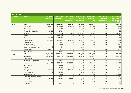| <b>WATER SUPPLY</b> |                                |                                          |                                            |                                                           |                                                             |                                                   |                                                                 |                                                                                 |
|---------------------|--------------------------------|------------------------------------------|--------------------------------------------|-----------------------------------------------------------|-------------------------------------------------------------|---------------------------------------------------|-----------------------------------------------------------------|---------------------------------------------------------------------------------|
| Location            | <b>Work Code</b>               | <b>TYP Capital</b><br><b>Expenditure</b> | <b>Total Capital</b><br><b>Expenditure</b> | <b>TYP Growth</b><br><b>Capital</b><br><b>Expenditure</b> | <b>Total Growth</b><br><b>Capital</b><br><b>Expenditure</b> | <b>Growth costs</b><br>consumed -<br><b>TOTAL</b> | <b>Analysis Period</b><br><b>Dwelling</b><br><b>Equivalents</b> | <b>Development</b><br><b>Contribution</b><br>per Dwelling<br>Equivalent (\$/DE) |
| Hāwea               | <b>Total</b>                   | 10,353,799                               | 14,919,691                                 | 4,854,401                                                 | 6,908,203                                                   | 2,081,971                                         | 376                                                             | \$5,543                                                                         |
|                     | Reticulation                   | 909,000                                  | 3,075,867                                  | 454,500                                                   | 1,697,898                                                   | 635,060                                           | 376                                                             | \$1,691                                                                         |
|                     | <b>Pump Station</b>            | 0                                        | 397,488                                    | $\Omega$                                                  | 157,091                                                     | 76,449                                            | 376                                                             | \$204                                                                           |
|                     | <b>Unspecified Expenditure</b> | 406,379                                  | 437,947                                    | $\overline{0}$                                            | $\Omega$                                                    | $\Omega$                                          | 376                                                             | \$0                                                                             |
|                     | Storage                        | 7,511,520                                | 7,521,286                                  | 3,755,760                                                 | 3,759,635                                                   | 806,572                                           | 376                                                             | \$2,147                                                                         |
|                     | Intake                         | $\Omega$                                 | 1,516,291                                  | 0                                                         | 569,044                                                     | 282,321                                           | 376                                                             | \$752                                                                           |
|                     | Renewals                       | 121,469                                  | 340,382                                    | 0                                                         | $\mathbf 0$                                                 | $\overline{0}$                                    | 376                                                             | \$0                                                                             |
|                     | Management                     | 1,241,363                                | 1,286,322                                  | 580,318                                                   | 590,177                                                     | 233,114                                           | 376                                                             | \$621                                                                           |
|                     | <b>Flow Metering</b>           | 0                                        | 58,819                                     | 0                                                         | 23,590                                                      | 11,844                                            | 376                                                             | \$32                                                                            |
|                     | <b>Treatment Facility</b>      | 0                                        | 59,792                                     | 0                                                         | 23,040                                                      | 7,245                                             | 376                                                             | \$19                                                                            |
|                     | Asset Management System        | $\Omega$                                 | 3,543                                      | $\Omega$                                                  | 1,029                                                       | $\Omega$                                          | 376                                                             | \$0                                                                             |
|                     | Forward Design                 | 164,069                                  | 189,774                                    | 63,823                                                    | 72,352                                                      | 22,187                                            | 376                                                             | \$59                                                                            |
|                     | <b>Minor Works</b>             | $\Omega$                                 | 32,181                                     | 0                                                         | 14,348                                                      | 7,179                                             | 376                                                             | \$19                                                                            |
| Luggate             | <b>Total</b>                   | 9,384,593                                | 13,621,813                                 | 5,272,630                                                 | 6,956,755                                                   | 3,714,653                                         | 572                                                             | \$6,491                                                                         |
|                     | Reticulation                   | 5,010,000                                | 5,034,769                                  | 2,895,780                                                 | 2,909,562                                                   | 1,665,607                                         | 572                                                             | \$2,910                                                                         |
|                     | <b>Pump Station</b>            | $\Omega$                                 | 54,815                                     | $\Omega$                                                  | 30,471                                                      | 17,097                                            | 572                                                             | \$30                                                                            |
|                     | <b>Unspecified Expenditure</b> | 162,836                                  | 769,379                                    | $\Omega$                                                  | $\Omega$                                                    | $\Omega$                                          | 572                                                             | \$0                                                                             |
|                     | Storage                        | 3,631,000                                | 3,763,762                                  | 2,080,563                                                 | 2,166,877                                                   | 1,050,106                                         | 572                                                             | \$1,835                                                                         |
|                     | New Scheme                     | 0                                        | 18,437                                     | 0                                                         | $\Omega$                                                    | $\Omega$                                          | 572                                                             | \$0                                                                             |
|                     | Renewals                       | $\Omega$                                 | 87,255                                     | 0                                                         | $\Omega$                                                    | $\Omega$                                          | 572                                                             | \$0                                                                             |
|                     | Management                     | 460,757                                  | 522,564                                    | 241,687                                                   | 258,872                                                     | 130,245                                           | 572                                                             | \$228                                                                           |
|                     | <b>Flow Metering</b>           | 0                                        | 30,622                                     | 0                                                         | 17,193                                                      | 9,706                                             | 572                                                             | \$17                                                                            |
|                     | <b>Treatment Facility</b>      | 0                                        | 3,033,137                                  | 0                                                         | 1,416,281                                                   | 813,470                                           | 572                                                             | \$1,421                                                                         |
|                     | Asset Management System        | $\Omega$                                 | 53,174                                     | $\overline{0}$                                            | 15,433                                                      | $\Omega$                                          | 572                                                             | \$0                                                                             |
|                     | <b>Forward Design</b>          | 120,000                                  | 120,000                                    | 54,600                                                    | 54,600                                                      | 24,252                                            | 572                                                             | \$42                                                                            |
|                     | Minor Works                    | 0                                        | 278                                        | 0                                                         | 39                                                          | 23                                                | 572                                                             | \$0                                                                             |
|                     | Investigations                 | 0                                        | 133,621                                    | 0                                                         | 87,426                                                      | 4,147                                             | 572                                                             | \$7                                                                             |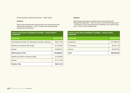Private Developer Agreement Schemes – Water Supply

#### **Cardrona**

Water Supply development contributions as per provisional private development agreement – 100% of costs to be funded through development contributions.

#### PRIVATE DEVELOPER AGREEMENT SCHEMES – WATER SUPPLY **CARDRONA**

| <b>Component</b>                                           | <b>Capital Costs</b> |
|------------------------------------------------------------|----------------------|
| WS Headworks (Intake, PS, Rising Main, Storage, Treatment) | \$8,611,183          |
| Additional membranes and storage                           | \$1,278,987          |
| Interest                                                   | \$4,099,491          |
| <b>WS Headworks Total</b>                                  | \$13,989,661         |
| Pipeline from MCS to Cardrona Village                      | \$1,430,000          |
| Interest                                                   | \$1,111,416          |
| <b>Pipeline Total</b>                                      | \$2,541,416          |

#### Kingston

Water Supply development contributions are as per the private development agreement – 100% of costs to be funded through growth – with options to pay the development contribution as an upfront lump sum, or over time as a targeted rate.

| <b>KINGSTON</b>  |                      |
|------------------|----------------------|
| <b>Component</b> | <b>Capital Costs</b> |
| <b>Headworks</b> | \$12,988,276         |
| Conveyance       | \$4,270,118          |
| Interest         | \$3,335,610          |
| <b>Total</b>     | \$20,594,003         |

PRIVATE DEVELOPER AGREEMENT SCHEMES – WATER SUPPLY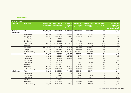#### WASTEWATER

| <b>WASTEWATER</b>            |                           |                                          |                                            |                                                    |                                                             |                                                   |                                                                 |                                                                                 |
|------------------------------|---------------------------|------------------------------------------|--------------------------------------------|----------------------------------------------------|-------------------------------------------------------------|---------------------------------------------------|-----------------------------------------------------------------|---------------------------------------------------------------------------------|
| <b>Location</b>              | <b>Work Code</b>          | <b>TYP Capital</b><br><b>Expenditure</b> | <b>Total Capital</b><br><b>Expenditure</b> | <b>TYP Growth</b><br>Capital<br><b>Expenditure</b> | <b>Total Growth</b><br><b>Capital</b><br><b>Expenditure</b> | <b>Growth costs</b><br>consumed -<br><b>TOTAL</b> | <b>Analysis Period</b><br><b>Dwelling</b><br><b>Equivalents</b> | <b>Development</b><br><b>Contribution</b><br>per Dwelling<br>Equivalent (\$/DE) |
| <b>Greater</b><br>Queenstown | <b>Total</b>              | 156,233,550                              | 275,942,539                                | 72,591,723                                         | 113,016,893                                                 | 29,659,491                                        | 4,695                                                           | \$6,317                                                                         |
|                              | Investigations            | 2,229,198                                | 2,368,974                                  | 526,883                                            | 574,822                                                     | 191,844                                           | 4,695                                                           | \$41                                                                            |
|                              | Management                | 666,567                                  | 8,658,167                                  | 175,219                                            | 2,822,590                                                   | 153,213                                           | 4,695                                                           | \$33                                                                            |
|                              | Minor Works               | $\Omega$                                 | 2,242                                      | 0                                                  | $\Omega$                                                    | 0                                                 | 4,695                                                           | \$0                                                                             |
|                              | New Scheme                | $\Omega$                                 | 476,924                                    | $\Omega$                                           | 476,924                                                     | 0                                                 | 4,695                                                           | \$0                                                                             |
|                              | <b>Pump Station</b>       | 13,906,213                               | 41,726,743                                 | 5,578,218                                          | 16,174,289                                                  | 6,793,990                                         | 4,695                                                           | \$1,447                                                                         |
|                              | Renewals                  | $\Omega$                                 | 6,515,525                                  | $\Omega$                                           | 3,091                                                       | 1,538                                             | 4,695                                                           | \$0                                                                             |
|                              | Reticulation              | 103,746,500                              | 140,336,958                                | 52,381,951                                         | 68,776,862                                                  | 13,389,744                                        | 4,695                                                           | \$2,852                                                                         |
|                              | Storage                   | 12,533,625                               | 12,542,514                                 | 4,467,004                                          | 4,469,800                                                   | 1,366,667                                         | 4,695                                                           | \$291                                                                           |
|                              | <b>Treatment Facility</b> | 23, 151, 448                             | 63,314,492                                 | 9,462,448                                          | 19,718,516                                                  | 7,762,495                                         | 4,695                                                           | \$1,653                                                                         |
| Arrowtown                    | <b>Total</b>              | 8,739,879                                | 21,499,682                                 | 1,130,434                                          | 3,897,218                                                   | 1,294,924                                         | 387                                                             | \$3,349                                                                         |
|                              | Investigations            | 359,862                                  | 369,524                                    | 25,789                                             | 25,789                                                      | 10,412                                            | 387                                                             | \$27                                                                            |
|                              | Management                | 177,976                                  | 766,569                                    | 25,536                                             | 118,001                                                     | 15,832                                            | 387                                                             | \$41                                                                            |
|                              | <b>Minor Works</b>        | 0                                        | 20,289                                     | $\mathbf 0$                                        | $\Omega$                                                    | $\mathbf 0$                                       | 387                                                             | \$0                                                                             |
|                              | <b>Pump Station</b>       | $\mathbf 0$                              | 806,554                                    | $\mathbf 0$                                        | 170,078                                                     | 42,988                                            | 387                                                             | \$111                                                                           |
|                              | Renewals                  | $\Omega$                                 | 1,292,541                                  | $\Omega$                                           | 13,519                                                      | 1,974                                             | 387                                                             | \$5                                                                             |
|                              | Reticulation              | 6,295,504                                | 13,030,211                                 | 299,870                                            | 1,945,998                                                   | 584,471                                           | 387                                                             | \$1,512                                                                         |
|                              | <b>Treatment Facility</b> | 1,906,538                                | 5,213,993                                  | 779,239                                            | 1,623,834                                                   | 639,247                                           | 387                                                             | \$1,653                                                                         |
| <b>Lake Hayes</b>            | <b>Total</b>              | 426,686                                  | 7,863,706                                  | 174,395                                            | 3,568,408                                                   | 344,796                                           | 87                                                              | \$3,984                                                                         |
|                              | Management                | $\mathbf 0$                              | 118,078                                    | 0                                                  | 54,118                                                      | 0                                                 | 87                                                              | \$0                                                                             |
|                              | Minor Works               | $\mathbf 0$                              | 117,242                                    | 0                                                  | 13,415                                                      | 4,549                                             | 87                                                              | \$53                                                                            |
|                              | <b>Pump Station</b>       | $\Omega$                                 | 475,384                                    | $\Omega$                                           | 327,674                                                     | 68,014                                            | 87                                                              | \$786                                                                           |
|                              | Renewals                  | $\Omega$                                 | 236,947                                    | $\Omega$                                           | $\Omega$                                                    | $\Omega$                                          | 87                                                              | \$0                                                                             |
|                              | Reticulation              | $\Omega$                                 | 5,749,154                                  | $\Omega$                                           | 2,809,784                                                   | 129,169                                           | 87                                                              | \$1,493                                                                         |
|                              | <b>Treatment Facility</b> | 426,686                                  | 1,166,900                                  | 174,395                                            | 363,417                                                     | 143,064                                           | 87                                                              | \$1,653                                                                         |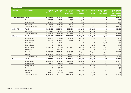| <b>WASTEWATER</b>       |                           |                                          |                                            |                                                           |                                                             |                                                   |                                                                 |                                                                                 |
|-------------------------|---------------------------|------------------------------------------|--------------------------------------------|-----------------------------------------------------------|-------------------------------------------------------------|---------------------------------------------------|-----------------------------------------------------------------|---------------------------------------------------------------------------------|
| <b>Location</b>         | <b>Work Code</b>          | <b>TYP Capital</b><br><b>Expenditure</b> | <b>Total Capital</b><br><b>Expenditure</b> | <b>TYP Growth</b><br><b>Capital</b><br><b>Expenditure</b> | <b>Total Growth</b><br><b>Capital</b><br><b>Expenditure</b> | <b>Growth costs</b><br>consumed -<br><b>TOTAL</b> | <b>Analysis Period</b><br><b>Dwelling</b><br><b>Equivalents</b> | <b>Development</b><br><b>Contribution</b><br>per Dwelling<br>Equivalent (\$/DE) |
| <b>Shotover Country</b> | <b>Total</b>              | 5,835,053                                | 5,965,611                                  | 110,100                                                   | 143,439                                                     | 29,577                                            | 15                                                              | \$1,938                                                                         |
|                         | Investigations            | 427,888                                  | 427,888                                    | 6,008                                                     | 6,008                                                       | 811                                               | 15                                                              | \$53                                                                            |
|                         | Management                | 93,308                                   | 93,308                                     | 1,306                                                     | 1,306                                                       | 201                                               | 15                                                              | \$13                                                                            |
|                         | Reticulation              | 5,238,599                                | 5,238,599                                  | 72,026                                                    | 72,026                                                      | 3,332                                             | 15                                                              | \$218                                                                           |
|                         | <b>Treatment Facility</b> | 75,258                                   | 205,817                                    | 30,760                                                    | 64,099                                                      | 25,234                                            | 15                                                              | \$1,653                                                                         |
| <b>Ladies Mile</b>      | <b>Total</b>              | 5,306,062                                | 10,645,015                                 | 3,539,894                                                 | 4,879,713                                                   | 1,444,259                                         | 606                                                             | \$2,384                                                                         |
|                         | Reticulation              | 2,319,040                                | 2,476,120                                  | 2,319,040                                                 | 2,335,612                                                   | 442,734                                           | 606                                                             | \$731                                                                           |
|                         | <b>Treatment Facility</b> | 2,987,022                                | 8,168,895                                  | 1,220,854                                                 | 2,544,101                                                   | 1,001,524                                         | 606                                                             | \$1,653                                                                         |
| Wānaka                  | <b>Total</b>              | 66,769,430                               | 128,066,435                                | 22,984,339                                                | 51,068,086                                                  | 15,491,753                                        | 2,661                                                           | \$5,821                                                                         |
|                         | Investigations            | 1,821,558                                | 1,993,432                                  | 638,842                                                   | 680,772                                                     | 216,595                                           | 2,661                                                           | \$81                                                                            |
|                         | Management                | 349,741                                  | 4,039,032                                  | 124,353                                                   | 2,062,283                                                   | 38,243                                            | 2,661                                                           | \$14                                                                            |
|                         | Minor Works               | 0                                        | 39,734                                     | 0                                                         | $\Omega$                                                    | $\Omega$                                          | 2,661                                                           | \$0                                                                             |
|                         | New Scheme                | 0                                        | 302,358                                    | 0                                                         | 74,152                                                      | 33,205                                            | 2,661                                                           | \$12                                                                            |
|                         | <b>Pump Station</b>       | 3,837,564                                | 7,171,382                                  | 1,765,279                                                 | 4,026,856                                                   | 1,355,762                                         | 2,661                                                           | \$509                                                                           |
|                         | Renewals                  | 0                                        | 2,601,475                                  | 0                                                         | 5,665                                                       | 3,418                                             | 2,661                                                           | \$1                                                                             |
|                         | Reticulation              | 33,230,699                               | 46,903,306                                 | 9,181,575                                                 | 14,608,644                                                  | 4,050,241                                         | 2,661                                                           | \$1,522                                                                         |
|                         | Storage                   | 15,002,300                               | 15,002,300                                 | 5,649,474                                                 | 5,649,474                                                   | 1,317,561                                         | 2,661                                                           | \$495                                                                           |
|                         | <b>Treatment Facility</b> | 12,527,568                               | 50,013,417                                 | 5,624,816                                                 | 23,960,241                                                  | 8,476,726                                         | 2,661                                                           | \$3,185                                                                         |
| Hāwea                   | <b>Total</b>              | 27,461,219                               | 31,204,853                                 | 13,040,813                                                | 14,829,403                                                  | 6,448,359                                         | 381                                                             | \$16,942                                                                        |
|                         | Investigations            | 3,401,041                                | 3,432,939                                  | 1,652,754                                                 | 1,659,606                                                   | 741,173                                           | 381                                                             | \$1,947                                                                         |
|                         | Management                | 37,886                                   | 248,183                                    | 14,738                                                    | 113,188                                                     | 6,347                                             | 381                                                             | \$17                                                                            |
|                         | <b>Pump Station</b>       | 0                                        | 1,214,322                                  | 0                                                         | 562,237                                                     | 225,195                                           | 381                                                             | \$592                                                                           |
|                         | Renewals                  | 0                                        | 343,971                                    | 0                                                         | $\mathbf 0$                                                 | $\Omega$                                          | 381                                                             | \$0                                                                             |
|                         | Reticulation              | 1,219,292                                | 1,807,922                                  | 0                                                         | 558,906                                                     | 267,041                                           | 381                                                             | \$702                                                                           |
|                         | Storage                   | 303,000                                  | 303,000                                    | 123,321                                                   | 123,321                                                     | 46,605                                            | 381                                                             | \$122                                                                           |
|                         | <b>Treatment Facility</b> | 22,500,000                               | 23,854,518                                 | 11,250,000                                                | 11,812,145                                                  | 5,161,998                                         | 381                                                             | \$13,563                                                                        |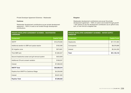Private Developer Agreement Schemes – Wastewater

#### **Cardrona**

Wastewater development contributions as per private development agreement – 100% of costs to be funded through development contributions.

#### PRIVATE DEVELOPER AGREEMENT SCHEMES – WASTEWATER **CARDRONA**

| <b>Component</b>                                | <b>Capital Costs</b> |
|-------------------------------------------------|----------------------|
| <b>WWTP</b>                                     | \$15,379,000         |
| Additional aeration to SBR and upsize reactor   | \$192,090            |
| S <sub>2</sub> irrigation zone                  | \$573,661            |
| Third SBR tank                                  | \$1,884,647          |
| Second headworks screen and grit removal system | \$423,829            |
| Additional LTA and consent variation            | \$168,357            |
| Interest                                        | \$7,368,033          |
| <b>WWTP Total</b>                               | \$25,989,616         |
| Pipeline from WWTP to Cardrona Village          | \$4,259,000          |
| Interest                                        | \$3,631,632          |
| <b>Pipeline Total</b>                           | \$7,890,632          |

#### Kingston

**KINGSTON** 

Wastewater development contributions are as per the private development agreement – 100% of costs to be funded through growth – with options to pay the development contribution as an upfront lump sum, or over time as a targeted rate.

| <b>Component</b> | <b>Capital Costs</b> |
|------------------|----------------------|
| <b>Headworks</b> | \$17,721,904         |
| Conveyance       | \$8,078,889          |
| Interest         | \$5,344,350          |
| <b>Total</b>     | \$31,145,143         |

PRIVATE DEVELOPER AGREEMENT SCHEMES – WATER SUPPLY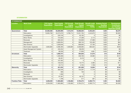#### **STORMWATER**

| <b>STORMWATER</b>     |                            |                                          |                                            |                                                           |                                                             |                                                   |                                                                 |                                                                                 |  |  |  |  |
|-----------------------|----------------------------|------------------------------------------|--------------------------------------------|-----------------------------------------------------------|-------------------------------------------------------------|---------------------------------------------------|-----------------------------------------------------------------|---------------------------------------------------------------------------------|--|--|--|--|
| <b>Location</b>       | <b>Work Code</b>           | <b>TYP Capital</b><br><b>Expenditure</b> | <b>Total Capital</b><br><b>Expenditure</b> | <b>TYP Growth</b><br><b>Capital</b><br><b>Expenditure</b> | <b>Total Growth</b><br><b>Capital</b><br><b>Expenditure</b> | <b>Growth costs</b><br>consumed -<br><b>TOTAL</b> | <b>Analysis Period</b><br><b>Dwelling</b><br><b>Equivalents</b> | <b>Development</b><br><b>Contribution</b><br>per Dwelling<br>Equivalent (\$/DE) |  |  |  |  |
| Queenstown            | <b>Total</b>               | 24,569,368                               | 55,809,999                                 | 7,415,519                                                 | 16,988,504                                                  | 5,403,254                                         | 1,603                                                           | \$3,370                                                                         |  |  |  |  |
|                       | Reticulation               | 19,963,768                               | 43,373,076                                 | 5,766,714                                                 | 13,551,794                                                  | 4,545,870                                         | 1,603                                                           | \$2,835                                                                         |  |  |  |  |
|                       | Investigations             | 0                                        | 229,749                                    | 0                                                         | 63,162                                                      | $\overline{0}$                                    | 1,603                                                           | \$0                                                                             |  |  |  |  |
|                       | <b>Minor Works</b>         | 0                                        | 724,050                                    | $\Omega$                                                  | 47,298                                                      | 2,112                                             | 1,603                                                           | \$1                                                                             |  |  |  |  |
|                       | Renewals                   | 0                                        | 695,522                                    | $\mathbf 0$                                               | 102,826                                                     | 27,096                                            | 1,603                                                           | \$17                                                                            |  |  |  |  |
|                       | Management                 | 0                                        | 3,060,934                                  | $\mathbf 0$                                               | 389,745                                                     | 102,490                                           | 1,603                                                           | \$64                                                                            |  |  |  |  |
|                       | New Scheme                 | $\Omega$                                 | 1,639,646                                  | $\Omega$                                                  | 698,905                                                     | 37,783                                            | 1,603                                                           | \$24                                                                            |  |  |  |  |
|                       | <b>Stormwater Upgrades</b> | 4,605,600                                | 5,586,460                                  | 1,648,805                                                 | 2,008,685                                                   | 683,022                                           | 1,603                                                           | \$426                                                                           |  |  |  |  |
|                       | Asset Management System    | 0                                        | 432,234                                    | 0                                                         | 98,259                                                      | $\Omega$                                          | 1,603                                                           | \$0                                                                             |  |  |  |  |
|                       | Treatment                  | 0                                        | 68,328                                     | $\mathbf 0$                                               | 27,830                                                      | 4,881                                             | 1,603                                                           | \$3                                                                             |  |  |  |  |
| Arrowtown             | <b>Total</b>               | 0                                        | 1,659,747                                  | 0                                                         | 364,645                                                     | 31,073                                            | 213                                                             | \$146                                                                           |  |  |  |  |
|                       | Reticulation               | 0                                        | 1,328,568                                  | $\mathbf 0$                                               | 339,700                                                     | 26,980                                            | 213                                                             | \$127                                                                           |  |  |  |  |
|                       | Investigations             | $\Omega$                                 | 66,461                                     | $\Omega$                                                  | 9,416                                                       | 0                                                 | 213                                                             | \$0                                                                             |  |  |  |  |
|                       | <b>Minor Works</b>         | 0                                        | 107,462                                    | $\boldsymbol{0}$                                          | $\Omega$                                                    | $\overline{0}$                                    | 213                                                             | \$0                                                                             |  |  |  |  |
|                       | Renewals                   | 0                                        | 133,543                                    | $\mathbf 0$                                               | 10,774                                                      | 2,385                                             | 213                                                             | \$11                                                                            |  |  |  |  |
|                       | <b>Stormwater Upgrades</b> | 0                                        | 23,712                                     | $\mathbf 0$                                               | 4,755                                                       | 1,708                                             | 213                                                             | \$8                                                                             |  |  |  |  |
| Glenorchy             | <b>Total</b>               | 0                                        | 451,533                                    | $\pmb{0}$                                                 | 201,020                                                     | 12,004                                            | 89                                                              | \$134                                                                           |  |  |  |  |
|                       | Reticulation               | 0                                        | 350,446                                    | $\mathbf 0$                                               | 154,297                                                     | 11,716                                            | 89                                                              | \$131                                                                           |  |  |  |  |
|                       | Investigations             | 0                                        | 396                                        | $\mathbf 0$                                               | 100                                                         | 0                                                 | 89                                                              | \$0                                                                             |  |  |  |  |
|                       | Renewals                   | 0                                        | 1,396                                      | $\mathbf 0$                                               | $\Omega$                                                    | $\mathbf 0$                                       | 89                                                              | \$0                                                                             |  |  |  |  |
|                       | New Scheme                 | 0                                        | 97,497                                     | $\mathbf 0$                                               | 46,107                                                      | $\overline{0}$                                    | 89                                                              | \$0                                                                             |  |  |  |  |
|                       | <b>Stormwater Upgrades</b> | $\Omega$                                 | 1,798                                      | $\Omega$                                                  | 517                                                         | 287                                               | 89                                                              | \$3                                                                             |  |  |  |  |
| <b>Frankton Flats</b> | <b>Total</b>               | 3,256,039                                | 11,965,880                                 | 1,165,662                                                 | 9,784,274                                                   | 6,390,774                                         | 1,394                                                           | \$4,583                                                                         |  |  |  |  |
|                       | Reticulation               | 3,256,039                                | 11,965,880                                 | 1,165,662                                                 | 9,784,274                                                   | 6,390,774                                         | 1,394                                                           | \$4,583                                                                         |  |  |  |  |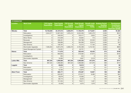| <b>STORMWATER</b>  |                            |                                          |                                            |                                                           |                                                             |                                                   |                                                                 |                                                                                 |
|--------------------|----------------------------|------------------------------------------|--------------------------------------------|-----------------------------------------------------------|-------------------------------------------------------------|---------------------------------------------------|-----------------------------------------------------------------|---------------------------------------------------------------------------------|
| <b>Location</b>    | <b>Work Code</b>           | <b>TYP Capital</b><br><b>Expenditure</b> | <b>Total Capital</b><br><b>Expenditure</b> | <b>TYP Growth</b><br><b>Capital</b><br><b>Expenditure</b> | <b>Total Growth</b><br><b>Capital</b><br><b>Expenditure</b> | <b>Growth costs</b><br>consumed -<br><b>TOTAL</b> | <b>Analysis Period</b><br><b>Dwelling</b><br><b>Equivalents</b> | <b>Development</b><br><b>Contribution</b><br>per Dwelling<br>Equivalent (\$/DE) |
| Wānaka             | <b>Total</b>               | 10,723,830                               | 24, 187, 013                               | 5,580,874                                                 | 11,726,476                                                  | 3,712,831                                         | 2,036                                                           | \$1,824                                                                         |
|                    | Reticulation               | 2,644,577                                | 12,067,032                                 | 1,876,415                                                 | 6,532,206                                                   | 1,852,470                                         | 2,036                                                           | \$910                                                                           |
|                    | Investigations             | $\Omega$                                 | 346,053                                    | 0                                                         | 126,417                                                     | 5,824                                             | 2,036                                                           | \$3                                                                             |
|                    | Minor Works                | $\Omega$                                 | 315,939                                    | $\Omega$                                                  | 50,694                                                      | 172                                               | 2,036                                                           | \$0                                                                             |
|                    | Renewals                   | 0                                        | 338,451                                    | $\mathbf 0$                                               | 120,788                                                     | 22,545                                            | 2,036                                                           | \$11                                                                            |
|                    | Management                 | 0                                        | 785,895                                    | 0                                                         | 184,590                                                     | 25,914                                            | 2,036                                                           | \$13                                                                            |
|                    | New Scheme                 | 0                                        | 139,797                                    | $\Omega$                                                  | 72,312                                                      | 17,194                                            | 2,036                                                           | \$8                                                                             |
|                    | <b>Stormwater Upgrades</b> | 7,305,253                                | 8,291,078                                  | 3,360,416                                                 | 3,794,498                                                   | 1,410,164                                         | 2,036                                                           | \$693                                                                           |
|                    | Asset Management System    | 0                                        | 116,501                                    | 0                                                         | 40,751                                                      | $\mathbf 0$                                       | 2,036                                                           | \$0                                                                             |
| Hāwea              | <b>Total</b>               | $\mathbf 0$                              | 711,672                                    | 0                                                         | 325,443                                                     | 40,432                                            | 373                                                             | \$108                                                                           |
|                    | Reticulation               | 0                                        | 693,853                                    | $\Omega$                                                  | 319,392                                                     | 37,914                                            | 373                                                             | \$102                                                                           |
|                    | Investigations             | 0                                        | 854                                        | $\mathbf 0$                                               | 244                                                         | $\Omega$                                          | 373                                                             | \$0                                                                             |
|                    | <b>Stormwater Upgrades</b> | 0                                        | 16,965                                     | $\Omega$                                                  | 5,807                                                       | 2,519                                             | 373                                                             | \$7                                                                             |
| <b>Ladies Mile</b> | <b>Total</b>               | 997,545                                  | 1,098,680                                  | 997,545                                                   | 1,098,680                                                   | 447,076                                           | 599                                                             | \$747                                                                           |
|                    | New Scheme                 | 997,545                                  | 1,098,680                                  | 997,545                                                   | 1,098,680                                                   | 447,076                                           | 599                                                             | \$747                                                                           |
| Luggate            | <b>Total</b>               | 0                                        | 49,834                                     | 0                                                         | 18,912                                                      | $\mathbf 0$                                       | 121                                                             | \$0                                                                             |
|                    | Reticulation               | 0                                        | 7,371                                      | 0                                                         | 5,039                                                       | $\mathbf 0$                                       | 121                                                             | \$0                                                                             |
|                    | Investigations             | 0                                        | 42,462                                     | 0                                                         | 13,873                                                      | $\Omega$                                          | 121                                                             | \$0                                                                             |
| <b>Albert Town</b> | <b>Total</b>               | 0                                        | 800,171                                    | 0                                                         | 375,387                                                     | 10,957                                            | 199                                                             | \$55                                                                            |
|                    | Reticulation               | 0                                        | 520,597                                    | 0                                                         | 272,917                                                     | 8,480                                             | 199                                                             | \$43                                                                            |
|                    | Investigations             | 0                                        | 30,879                                     | $\mathbf 0$                                               | 10,560                                                      | 0                                                 | 199                                                             | \$0                                                                             |
|                    | Management                 | $\Omega$                                 | 86,714                                     | 0                                                         | 8,223                                                       | $\overline{0}$                                    | 199                                                             | \$0                                                                             |
|                    | New Scheme                 | 0                                        | 151,554                                    | 0                                                         | 79,611                                                      | 1,407                                             | 199                                                             | \$7                                                                             |
|                    | <b>Stormwater Upgrades</b> | 0                                        | 10,426                                     | $\Omega$                                                  | 4,075                                                       | 1,070                                             | 199                                                             | \$5                                                                             |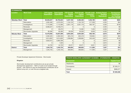| <b>STORMWATER</b>    |                            |                                          |                                            |                                                           |                                                             |                                                   |                                                                 |                                                                                 |  |  |  |
|----------------------|----------------------------|------------------------------------------|--------------------------------------------|-----------------------------------------------------------|-------------------------------------------------------------|---------------------------------------------------|-----------------------------------------------------------------|---------------------------------------------------------------------------------|--|--|--|
| <b>Location</b>      | <b>Work Code</b>           | <b>TYP Capital</b><br><b>Expenditure</b> | <b>Total Capital</b><br><b>Expenditure</b> | <b>TYP Growth</b><br><b>Capital</b><br><b>Expenditure</b> | <b>Total Growth</b><br><b>Capital</b><br><b>Expenditure</b> | <b>Growth costs</b><br>consumed -<br><b>TOTAL</b> | <b>Analysis Period</b><br><b>Dwelling</b><br><b>Equivalents</b> | <b>Development</b><br><b>Contribution</b><br>per Dwelling<br>Equivalent (\$/DE) |  |  |  |
| <b>Wakatipu Ward</b> | <b>Total</b>               | 29,464,647                               | 30,703,224                                 | 5,347,185                                                 | 5,362,446                                                   | 1,232,196                                         | 4,335                                                           | \$284                                                                           |  |  |  |
|                      | Reticulation               | 4,562,480                                | 4,575,535                                  | 1,104,120                                                 | 1,104,120                                                   | 217,208                                           | 4,335                                                           | \$50                                                                            |  |  |  |
|                      | Investigations             | 7,112,580                                | 7,112,580                                  | 2,001,119                                                 | 2,001,119                                                   | 563,197                                           | 4,335                                                           | \$130                                                                           |  |  |  |
|                      | Renewals                   | 8,566,227                                | 9,728,274                                  | 0                                                         |                                                             | 0                                                 | 4,335                                                           | \$0                                                                             |  |  |  |
|                      | Management                 | $\Omega$                                 | 63,475                                     | 0                                                         | 15,262                                                      | 7,433                                             | 4,335                                                           | \$2                                                                             |  |  |  |
|                      | <b>Stormwater Upgrades</b> | 85,280                                   | 85,280                                     | 30,530                                                    | 30,530                                                      | 9,029                                             | 4,335                                                           | \$2                                                                             |  |  |  |
| Wānaka Ward          | Total                      | 15,476,592                               | 15,837,299                                 | 3,654,329                                                 | 3,654,329                                                   | 802,160                                           | 2,872                                                           | \$279                                                                           |  |  |  |
|                      | Reticulation               | 2,392,520                                | 2,392,520                                  | 825,419                                                   | 825,419                                                     | 159,964                                           | 2,872                                                           | \$56                                                                            |  |  |  |
|                      | Investigations             | 3,614,820                                | 3,614,820                                  | 1,298,884                                                 | 1,298,884                                                   | 343,449                                           | 2,872                                                           | \$120                                                                           |  |  |  |
|                      | Renewals                   | 4,632,612                                | 4,992,299                                  | 0                                                         |                                                             | 0                                                 | 2,872                                                           | \$0                                                                             |  |  |  |
|                      | Management                 | $\Omega$                                 | 1,020                                      | $\Omega$                                                  |                                                             | 0                                                 | 2,872                                                           | \$0                                                                             |  |  |  |
|                      | <b>Stormwater Upgrades</b> | 44,720                                   | 44,720                                     | 20,571                                                    | 20,571                                                      | 6,021                                             | 2,872                                                           | \$2                                                                             |  |  |  |
| <b>District</b>      | <b>Total</b>               | 1,245,733                                | 1,245,733                                  | 369,855                                                   | 369,855                                                     | 111,056                                           | 7,207                                                           | \$15                                                                            |  |  |  |
|                      | Management                 | 1,245,733                                | 1,245,733                                  | 369,855                                                   | 369,855                                                     | 111,056                                           | 7,207                                                           | \$15                                                                            |  |  |  |

Private Developer Agreement Schemes - Stormwater

#### Kingston

Stormwater development contributions are as per private development agreement – 100% of costs to be funded through growth – with options to pay the development contribution as an upfront lump sum, or over time as a targeted rate.

| <b>PRIVATE DEVELOPER AGREEMENT SCHEMES - STORMWATER - KINGSTON</b> |                      |  |  |  |  |
|--------------------------------------------------------------------|----------------------|--|--|--|--|
| <b>Component</b>                                                   | <b>Capital Costs</b> |  |  |  |  |
| Headworks                                                          | \$0                  |  |  |  |  |
| Conveyance                                                         | \$7,262,211          |  |  |  |  |
| Interest                                                           | \$688,377            |  |  |  |  |
| <b>Total</b>                                                       | \$7,950,588          |  |  |  |  |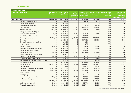### **TRANSPORTATION**

| <b>TRANSPORTATION</b> |                                           |                                          |                                            |                                                           |                                                             |                                                   |                                                                 |                                                                                 |
|-----------------------|-------------------------------------------|------------------------------------------|--------------------------------------------|-----------------------------------------------------------|-------------------------------------------------------------|---------------------------------------------------|-----------------------------------------------------------------|---------------------------------------------------------------------------------|
| .ocation              | <b>Work Code</b>                          | <b>TYP Capital</b><br><b>Expenditure</b> | <b>Total Capital</b><br><b>Expenditure</b> | <b>TYP Growth</b><br><b>Capital</b><br><b>Expenditure</b> | <b>Total Growth</b><br><b>Capital</b><br><b>Expenditure</b> | <b>Growth costs</b><br>consumed -<br><b>TOTAL</b> | <b>Analysis Period</b><br><b>Dwelling</b><br><b>Equivalents</b> | <b>Development</b><br><b>Contribution</b><br>per Dwelling<br>Equivalent (\$/DE) |
| Wakatipu              | <b>Total</b>                              | 346,596,968                              | 618,774,466                                | 50,143,840                                                | 79,391,803                                                  | 25,547,835                                        | 7,701                                                           | \$3,317                                                                         |
|                       | Advance property purchase                 | $\mathbf 0$                              | 2,878,559                                  | $\mathbf 0$                                               | 775,094                                                     | 243,419                                           | 7,701                                                           | \$32                                                                            |
|                       | <b>Amenity Enhancement</b>                | $\Omega$                                 | 209,241                                    | $\mathbf 0$                                               | 0                                                           | $\Omega$                                          | 7,701                                                           | \$0                                                                             |
|                       | Associated improvements                   | 1,900,000                                | 6,590,583                                  | $\mathbf 0$                                               | 393,940                                                     | 159,289                                           | 7,701                                                           | \$21                                                                            |
|                       | Cycle facilities                          | 6,500,000                                | 7,204,638                                  | 1,337,700                                                 | 1,436,469                                                   | 434,884                                           | 7,701                                                           | \$56                                                                            |
|                       | Drainage renewals                         | 3,750,000                                | 8,521,379                                  | 484,365                                                   | 948,709                                                     | 407,449                                           | 7,701                                                           | \$53                                                                            |
|                       | <b>Emergency Works Contingency</b>        | $\Omega$                                 | 367,602                                    | $\Omega$                                                  | 0                                                           | $\Omega$                                          | 7,701                                                           | \$0                                                                             |
|                       | <b>Environmental Renewals</b>             | 1,500,000                                | 1,815,896                                  | 249,900                                                   | 257,902                                                     | 76,486                                            | 7,701                                                           | \$10                                                                            |
|                       | Kerb & Channel Construction               | $\mathbf 0$                              | 2,062,709                                  | $\mathbf{0}$                                              | 308,764                                                     | $\mathsf 0$                                       | 7,701                                                           | \$0                                                                             |
|                       | Minor Improvements                        | 20,700,000                               | 37,865,185                                 | 3,448,620                                                 | 4,258,427                                                   | 1,203,080                                         | 7,701                                                           | \$156                                                                           |
|                       | New roads                                 | $\mathbf 0$                              | 22,389,946                                 | $\mathbf 0$                                               | 1,870,026                                                   | 969,238                                           | 7,701                                                           | \$126                                                                           |
|                       | New traffic management facilities         | $\mathbf 0$                              | 21,380                                     | $\mathbf 0$                                               | 2,664                                                       | 0                                                 | 7,701                                                           | \$0                                                                             |
|                       | <b>Other Structures</b>                   | $\Omega$                                 | 27,462                                     | $\mathbf 0$                                               | 2,746                                                       | $\Omega$                                          | 7,701                                                           | \$0                                                                             |
|                       | <b>Parking Facilities</b>                 | 4,500,000                                | 7,935,108                                  | $\mathsf 0$                                               | 130,369                                                     | 61,262                                            | 7,701                                                           | \$8                                                                             |
|                       | Passenger transport infrastructure        | $\mathbf 0$                              | 2,031,448                                  | $\mathbf 0$                                               | 157,752                                                     | 82,736                                            | 7,701                                                           | \$11                                                                            |
|                       | Pedestrian and Cycle facilities           | $\Omega$                                 | 10,666,274                                 | $\mathbf 0$                                               | 775,792                                                     | $\Omega$                                          | 7,701                                                           | \$0                                                                             |
|                       | Pedestrian facilities                     | 2,000,000                                | 10,420,974                                 | 401,800                                                   | 1,654,453                                                   | 368,400                                           | 7,701                                                           | \$48                                                                            |
|                       | Power Reticulation Undergrounding         | $\Omega$                                 | 1,301,062                                  | $\mathbf{0}$                                              | $\mathbf 0$                                                 | $\Omega$                                          | 7,701                                                           | \$0                                                                             |
|                       | Preventive maintenance                    | 980,000                                  | 2,133,048                                  | 110,446                                                   | 127,047                                                     | 42,896                                            | 7,701                                                           | \$6                                                                             |
|                       | Property purchase (local roads)           | $\mathbf 0$                              | 296,042                                    | $\mathbf 0$                                               | 122,097                                                     | 50,708                                            | 7,701                                                           | $\overline{$7}$                                                                 |
|                       | Replacement of bridges & other structures | $\mathbf 0$                              | 1,390,543                                  | $\mathbf 0$                                               | 102,479                                                     | 22,609                                            | 7,701                                                           | $\overline{$3$}$                                                                |
|                       | Road reconstruction                       | $\Omega$                                 | 10,716,182                                 | $\Omega$                                                  | 1,138,836                                                   | 549,621                                           | 7,701                                                           | \$71                                                                            |
|                       | <b>Roading General</b>                    | 131,717,275                              | 158,919,092                                | 23,130,401                                                | 26,589,312                                                  | 9,943,812                                         | 7,701                                                           | \$1,291                                                                         |
|                       | Seal extension                            | $\mathbf 0$                              | 17,712,553                                 | $\mathbf 0$                                               | 2,978,066                                                   | 75,947                                            | 7,701                                                           | \$10                                                                            |
|                       | Sealed road pavement rehabilitation       | 11,380,000                               | 62,377,189                                 | 1,927,072                                                 | 6,437,283                                                   | 2,579,350                                         | 7,701                                                           | \$335                                                                           |
|                       | Sealed road resurfacing                   | 12,830,000                               | 45,933,081                                 | 1,445,941                                                 | 4,138,626                                                   | 809,324                                           | 7,701                                                           | \$105                                                                           |
|                       | <b>Street Furniture</b>                   | 0                                        | 132,161                                    | $\mathbf 0$                                               | 1,329                                                       | $\overline{0}$                                    | 7,701                                                           | \$0                                                                             |
|                       | Streetlighting                            | $\Omega$                                 | 2,432,094                                  | $\overline{0}$                                            | 235,816                                                     | 85,526                                            | 7,701                                                           | \$11                                                                            |
|                       | Structures component replacements         | 2,260,000                                | 3,188,016                                  | 470,792                                                   | 539,543                                                     | 174,621                                           | 7,701                                                           | \$23                                                                            |
|                       | Studies and strategies                    | $\mathbf 0$                              | 4,770,949                                  | $\Omega$                                                  | 744,333                                                     | 179,300                                           | 7,701                                                           | \$23                                                                            |
|                       | Town Centre Improvements                  | 136,379,693                              | 163,613,749                                | 15,987,263                                                | 21,198,723                                                  | 6,449,430                                         | 7,701                                                           | \$837                                                                           |
|                       | Traffic services renewals                 | 1,650,000                                | 6,234,464                                  | 185,955                                                   | 707,795                                                     | 169,907                                           | 7,701                                                           | \$22                                                                            |
|                       | Unsealed road metalling                   | 8,550,000                                | 16,615,854                                 | 963,585                                                   | 1,357,411                                                   | 408,542                                           | 7,701                                                           | \$53                                                                            |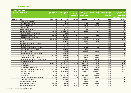### **TRANSPORTATION**

| <b>TRANSPORTATION</b> |                                           |                                          |                                            |                                                           |                                                             |                                                   |                                                                 |                                                                                 |
|-----------------------|-------------------------------------------|------------------------------------------|--------------------------------------------|-----------------------------------------------------------|-------------------------------------------------------------|---------------------------------------------------|-----------------------------------------------------------------|---------------------------------------------------------------------------------|
| Location              | <b>Work Code</b>                          | <b>TYP Capital</b><br><b>Expenditure</b> | <b>Total Capital</b><br><b>Expenditure</b> | <b>TYP Growth</b><br><b>Capital</b><br><b>Expenditure</b> | <b>Total Growth</b><br><b>Capital</b><br><b>Expenditure</b> | <b>Growth costs</b><br>consumed -<br><b>TOTAL</b> | <b>Analysis Period</b><br><b>Dwelling</b><br><b>Equivalents</b> | <b>Development</b><br><b>Contribution</b><br>per Dwelling<br>Equivalent (\$/DE) |
| Wānaka                | <b>Total</b>                              | 86,276,400                               | 186,253,381                                | 16,480,694                                                | 29,976,121                                                  | 8,837,080                                         | 4,904                                                           | \$1,802                                                                         |
|                       | <b>Amenity Enhancement</b>                | $\Omega$                                 | 126,607                                    | $\mathbf{0}$                                              | $\Omega$                                                    | $\Omega$                                          | 4,904                                                           | \$0                                                                             |
|                       | Associated improvements                   | $\Omega$                                 | 634,613                                    | $\mathbf{0}$                                              | 87,798                                                      | 43,788                                            | 4,904                                                           | \$9                                                                             |
|                       | <b>Carparking Facilities</b>              | $\Omega$                                 | 294,760                                    | $\mathbf 0$                                               | 138,661                                                     | 80,451                                            | 4,904                                                           | \$16                                                                            |
|                       | <b>Cycle facilities</b>                   | $\Omega$                                 | 724,516                                    | $\mathbf{0}$                                              | 144,426                                                     | $\Omega$                                          | 4,904                                                           | \$0                                                                             |
|                       | Demand management                         | $\Omega$                                 | 27,215                                     | $\mathbf 0$                                               | 1,782                                                       | $\Omega$                                          | 4,904                                                           | \$0                                                                             |
|                       | Drainage renewals                         | 2,100,000                                | 4,347,809                                  | 236,670                                                   | 529,997                                                     | 247,926                                           | 4,904                                                           | \$51                                                                            |
|                       | <b>Emergency Works Contingency</b>        | $\Omega$                                 | 6,424                                      | $\mathbf{0}$                                              | $\Omega$                                                    | $\Omega$                                          | 4,904                                                           | \$0                                                                             |
|                       | <b>Environmental Renewals</b>             | 800,000                                  | 868,790                                    | 152,880                                                   | 157,512                                                     | 45,765                                            | 4,904                                                           | $\overline{\$9}$                                                                |
|                       | Kerb & Channel Construction               | $\Omega$                                 | 2,317,528                                  | $\mathbf{0}$                                              | 180,956                                                     | $\Omega$                                          | 4,904                                                           | $\overline{$}0$                                                                 |
|                       | Minor Improvements                        | 20,000,000                               | 32,342,074                                 | 3,822,000                                                 | 4,594,489                                                   | 1,365,694                                         | 4,904                                                           | \$279                                                                           |
|                       | New roads                                 | 0                                        | 742,626                                    | $\mathbf 0$                                               | 334,326                                                     | 156,982                                           | 4,904                                                           | \$32                                                                            |
|                       | New traffic management facilities         | $\Omega$                                 | 2,128                                      | $\mathbf 0$                                               | 247                                                         | $\Omega$                                          | 4,904                                                           | \$0                                                                             |
|                       | <b>Parking Facilities</b>                 | $\Omega$                                 | 6,721                                      | $\mathsf 0$                                               | $\overline{0}$                                              | $\Omega$                                          | 4,904                                                           | $\overline{$}0$                                                                 |
|                       | Passenger transport infrastructure        | $\mathsf 0$                              | 118,217                                    | $\mathsf 0$                                               | 11,186                                                      | 7,194                                             | 4,904                                                           | $\overline{$1$}$                                                                |
|                       | Pedestrian and Cycle facilities           | $\mathsf 0$                              | 82,622                                     | $\mathbf 0$                                               | 5,825                                                       | $\Omega$                                          | 4,904                                                           | \$0                                                                             |
|                       | Pedestrian facilities                     | $\mathbf 0$                              | 3,412,893                                  | $\mathsf 0$                                               | 620,205                                                     | 34,941                                            | 4,904                                                           | $\overline{$7}$                                                                 |
|                       | Power Reticulation Undergrounding         | $\Omega$                                 | 1,489,952                                  | $\mathbf 0$                                               | $\Omega$                                                    | $\Omega$                                          | 4,904                                                           | $\overline{$}0$                                                                 |
|                       | Preventive maintenance                    | 475,000                                  | 588,963                                    | 53,533                                                    | 60,969                                                      | 19,827                                            | 4,904                                                           | $\sqrt{$4$}$                                                                    |
|                       | Property purchase (local roads)           | $\Omega$                                 | 40,953                                     | $\mathbf 0$                                               | 19,907                                                      | 12,802                                            | 4,904                                                           | \$3                                                                             |
|                       | Replacement of bridges & other structures | $\Omega$                                 | 2,030,013                                  | $\mathbf 0$                                               | 143,116                                                     | 34,458                                            | 4,904                                                           | $\overline{$7}$                                                                 |
|                       | Road reconstruction                       | $\Omega$                                 | 3,713,371                                  | $\mathbf 0$                                               | 506,481                                                     | 240,492                                           | 4,904                                                           | \$49                                                                            |
|                       | <b>Roading General</b>                    | 35,881,400                               | 40,237,267                                 | 7,280,131                                                 | 7,657,035                                                   | 2,256,682                                         | 4,904                                                           | \$460                                                                           |
|                       | Seal extension                            | 0                                        | 8,774,390                                  | $\mathbf 0$                                               | 2,870,565                                                   | 740,245                                           | 4,904                                                           | \$151                                                                           |
|                       | Seal extension - residential              | $\Omega$                                 | 6,468,787                                  | $\mathbf 0$                                               | 2,276,038                                                   | 795,485                                           | 4,904                                                           | \$162                                                                           |
|                       | Sealed road pavement rehabilitation       | 7,180,000                                | 11,112,584                                 | 1,389,934                                                 | 1,804,821                                                   | 676,347                                           | 4,904                                                           | \$138                                                                           |
|                       | Sealed road resurfacing                   | 8,000,000                                | 36,769,672                                 | 1,058,400                                                 | 4,012,970                                                   | 1,039,516                                         | 4,904                                                           | \$212                                                                           |
|                       | <b>Street Furniture</b>                   | $\mathbf 0$                              | 74,104                                     | $\mathbf 0$                                               | 7,410                                                       | 3,389                                             | 4,904                                                           | \$1                                                                             |
|                       | Streetlighting                            | 4,000,000                                | 6,123,113                                  | 1,480,000                                                 | 1,604,657                                                   | 412,186                                           | 4,904                                                           | \$84                                                                            |
|                       | Structures component replacements         | 940,000                                  | 1,406,431                                  | 211,876                                                   | 255,079                                                     | 78,397                                            | 4,904                                                           | \$16                                                                            |
|                       | Studies and strategies                    | 0                                        | 1,552,889                                  | 0                                                         | 115,237                                                     | $\mathbf 0$                                       | 4,904                                                           | \$0                                                                             |
|                       | Town Centre Improvements                  | $\mathbf 0$                              | 3,671,358                                  | $\mathbf 0$                                               | 356,345                                                     | 128,874                                           | 4,904                                                           | \$26                                                                            |
|                       | Traffic services renewals                 | 900,000                                  | 3,228,046                                  | 119,070                                                   | 480,393                                                     | 114,325                                           | 4,904                                                           | \$23                                                                            |
|                       | Unsealed road metalling                   | 6,000,000                                | 12,915,944                                 | 676,200                                                   | 997,686                                                     | 301,315                                           | 4,904                                                           | \$61                                                                            |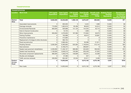#### **TRANSPORTATION**

| <b>TRANSPORTATION</b>                   |                                           |                                          |                                            |                                                           |                                                             |                                                   |                                                                 |                                                                                 |
|-----------------------------------------|-------------------------------------------|------------------------------------------|--------------------------------------------|-----------------------------------------------------------|-------------------------------------------------------------|---------------------------------------------------|-----------------------------------------------------------------|---------------------------------------------------------------------------------|
| <b>Location</b>                         | <b>Work Code</b>                          | <b>TYP Capital</b><br><b>Expenditure</b> | <b>Total Capital</b><br><b>Expenditure</b> | <b>TYP Growth</b><br><b>Capital</b><br><b>Expenditure</b> | <b>Total Growth</b><br><b>Capital</b><br><b>Expenditure</b> | <b>Growth costs</b><br>consumed -<br><b>TOTAL</b> | <b>Analysis Period</b><br><b>Dwelling</b><br><b>Equivalents</b> | <b>Development</b><br><b>Contribution</b><br>per Dwelling<br>Equivalent (\$/DE) |
| <b>District</b><br>Wide                 | <b>Total</b>                              | 9,922,000                                | 43,042,600                                 | 1,599,149                                                 | 2,872,457                                                   | 895,652                                           | 12,605                                                          | \$71                                                                            |
|                                         | Associated improvements                   | $\Omega$                                 | 603,505                                    | $\mathbf{0}$                                              | 3,424                                                       | 1,989                                             | 12,605                                                          | \$0                                                                             |
|                                         | Drainage renewals                         | 710,000                                  | 1,062,819                                  | 83,496                                                    | 86,623                                                      | 54,914                                            | 12,605                                                          | \$4                                                                             |
|                                         | <b>Environmental Renewals</b>             | 800,000                                  | 929,688                                    | 141,120                                                   | 144,334                                                     | 40,715                                            | 12,605                                                          | \$3                                                                             |
|                                         | Kerb & Channel Construction               | $\mathbf 0$                              | 10,725                                     | 0                                                         | 1,609                                                       | 0                                                 | 12,605                                                          | \$0                                                                             |
|                                         | Minor Improvements                        | 950,000                                  | 4,376,650                                  | 167,580                                                   | 172,664                                                     | 46,675                                            | 12,605                                                          | \$4                                                                             |
|                                         | <b>Parking Facilities</b>                 | $\mathbf 0$                              | 192,888                                    | 0                                                         | 46,612                                                      | 20,881                                            | 12,605                                                          | \$2                                                                             |
|                                         | Preventive maintenance                    | $\Omega$                                 | 412,683                                    | $\Omega$                                                  | 0                                                           | $\mathbf 0$                                       | 12,605                                                          | \$0                                                                             |
|                                         | Replacement of bridges & other structures | $\Omega$                                 | 585,704                                    | $\overline{0}$                                            | $\Omega$                                                    | $\Omega$                                          | 12,605                                                          | \$0                                                                             |
|                                         | Road reconstruction                       | $\mathbf{0}$                             | 2,969,464                                  | $\Omega$                                                  | 59,389                                                      | 21,811                                            | 12,605                                                          | \$2                                                                             |
|                                         | <b>Roading General</b>                    | 3,282,000                                | 6,485,663                                  | 520,365                                                   | 1,146,844                                                   | 410,144                                           | 12,605                                                          | \$33                                                                            |
|                                         | Seal extension                            | $\Omega$                                 | 6,166,275                                  | $\mathbf{0}$                                              | 298,907                                                     | $\Omega$                                          | 12,605                                                          | \$0                                                                             |
|                                         | Sealed road pavement rehabilitation       | 2,200,000                                | 11,456,157                                 | 388,080                                                   | 535,925                                                     | 189,530                                           | 12,605                                                          | \$15                                                                            |
|                                         | Sealed road resurfacing                   | 1,100,000                                | 5,948,210                                  | 129,360                                                   | 203,226                                                     | 57,925                                            | 12,605                                                          | \$5                                                                             |
|                                         | Structures component replacements         | 680,000                                  | 1,200,218                                  | 146,608                                                   | 149,451                                                     | 44,599                                            | 12,605                                                          | \$4                                                                             |
|                                         | Studies and strategies                    | $\Omega$                                 | 37,586                                     | $\mathbf{0}$                                              | 537                                                         | $\Omega$                                          | 12,605                                                          | \$0                                                                             |
|                                         | Traffic services renewals                 | 200,000                                  | 604,367                                    | 22,540                                                    | 22,911                                                      | 6,469                                             | 12,605                                                          | \$1                                                                             |
| <b>Eastern</b><br><b>Access</b><br>Road | <b>Total</b>                              | $\mathbf 0$                              | 14,853,646                                 | $\mathbf{0}$                                              | 6,815,162                                                   | 4,270,186                                         | 5,597                                                           | \$763                                                                           |
|                                         | New roads                                 | $\mathbf 0$                              | 14,853,646                                 | $\mathbf{0}$                                              | 6,815,162                                                   | 4,270,186                                         | 5,597                                                           | \$763                                                                           |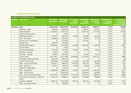#### COMMUNITY INFRASTRUCTURE

|                 | <b>COMMUNITY INFRASTRUCTURE</b>           |                                          |                                            |                                                           |                                                             |                                                   |                                                                 |                                                                                 |
|-----------------|-------------------------------------------|------------------------------------------|--------------------------------------------|-----------------------------------------------------------|-------------------------------------------------------------|---------------------------------------------------|-----------------------------------------------------------------|---------------------------------------------------------------------------------|
| <b>Location</b> | <b>Work Code</b>                          | <b>TYP Capital</b><br><b>Expenditure</b> | <b>Total Capital</b><br><b>Expenditure</b> | <b>TYP Growth</b><br><b>Capital</b><br><b>Expenditure</b> | <b>Total Growth</b><br><b>Capital</b><br><b>Expenditure</b> | <b>Growth costs</b><br>consumed -<br><b>TOTAL</b> | <b>Analysis Period</b><br><b>Dwelling</b><br><b>Equivalents</b> | <b>Development</b><br><b>Contribution</b><br>per Dwelling<br>Equivalent (\$/DE) |
| Wakatipu        | <b>Total</b>                              | 138,351,028                              | 220,022,455                                | 32,706,505                                                | 63,890,734                                                  | 16,300,271                                        | 4,419                                                           | \$3,689                                                                         |
|                 | <b>Buildings - Toilets</b>                | 900,000                                  | 8,566,670                                  | $\mathbf{0}$                                              | 1,569,044                                                   | 447,671                                           | 4,419                                                           | \$101                                                                           |
|                 | Alpine Aqualand                           | 4,425,526                                | 31,657,034                                 | $\Omega$                                                  | 16,122,410                                                  | 4,419,146                                         | 4,419                                                           | \$1,000                                                                         |
|                 | <b>Health &amp; Fitness Centre</b>        | $\Omega$                                 | 8,549                                      | $\Omega$                                                  | 0                                                           | $\Omega$                                          | 4,419                                                           | \$0                                                                             |
|                 | <b>Waterways Facilities</b>               | 1,147,610                                | 3,661,463                                  | 129,240                                                   | 631,299                                                     | 185,246                                           | 4,419                                                           | \$42                                                                            |
|                 | Halls - Arrowtown                         | 664,693                                  | 1,675,619                                  | $\mathbf 0$                                               | 136,765                                                     | 27,149                                            | 4,419                                                           | \$6                                                                             |
|                 | Council Land - Non-Reserve                | $\Omega$                                 | 2,775,474                                  | $\mathbf 0$                                               | 1,427,791                                                   | 0                                                 | 4,419                                                           | \$0                                                                             |
|                 | <b>Holiday Parks</b>                      | 382,580                                  | 382,580                                    | $\Omega$                                                  | $\Omega$                                                    | $\Omega$                                          | 4,419                                                           | \$0                                                                             |
|                 | Wakatipu Non-Reserve                      | 10,025,264                               | 19,444,585                                 | 1,763,389                                                 | 3,253,032                                                   | 1,138,665                                         | 4,419                                                           | \$258                                                                           |
|                 | <b>Council Offices</b>                    | $\Omega$                                 | 15,067                                     | $\Omega$                                                  | 0                                                           | $\Omega$                                          | 4,419                                                           | \$0                                                                             |
|                 | <b>Community Buildings</b>                | 971,240                                  | 971,240                                    | 130,425                                                   | 130,425                                                     | 56,079                                            | 4,419                                                           | \$13                                                                            |
|                 | Buildings - Housing                       | 77,394                                   | 77,394                                     | $\Omega$                                                  | $\Omega$                                                    | $\Omega$                                          | 4,419                                                           | \$0                                                                             |
|                 | <b>Buildings - Heritage</b>               | 174,887                                  | 1,375,902                                  | $\Omega$                                                  | 20,304                                                      | 12,710                                            | 4,419                                                           | \$3                                                                             |
|                 | <b>Events Centre</b>                      | 44,715,321                               | 50,117,906                                 | 11,880,990                                                | 13,126,169                                                  | 3,912,772                                         | 4,419                                                           | \$886                                                                           |
|                 | Queenstown Memorial Centre                | 1,065,193                                | 1,065,193                                  | $\mathbf{0}$                                              | $\Omega$                                                    | $\Omega$                                          | 4,419                                                           | \$0                                                                             |
|                 | <b>Frankton Golf Course</b>               | 3,000,000                                | 3,114,286                                  | 1,127,400                                                 | 1,127,400                                                   | 333,189                                           | 4,419                                                           | \$75                                                                            |
|                 | Halls - Lake Hayes Pavillion              | 4,284,547                                | 4,886,431                                  | 1,257,360                                                 | 1,391,120                                                   | 94,385                                            | 4,419                                                           | \$21                                                                            |
|                 | Halls - Glenorchy                         | 347,081                                  | 432,844                                    | 61,600                                                    | 61,600                                                      | 21,745                                            | 4,419                                                           | \$5                                                                             |
|                 | <b>Rural Fire - District Wide</b>         | $\Omega$                                 | 125,532                                    | $\Omega$                                                  | $\Omega$                                                    | $\Omega$                                          | 4,419                                                           | \$0                                                                             |
|                 | Halls - Queenstown                        | 11,050,000                               | 16,389,742                                 | 7,125,000                                                 | 9,497,870                                                   | 2,460,455                                         | 4,419                                                           | \$557                                                                           |
|                 | Halls - Events Centre                     | $\mathbf{0}$                             | 12,282,453                                 | $\mathbf 0$                                               | 5,405,876                                                   | 448,636                                           | 4,419                                                           | \$102                                                                           |
|                 | Halls - Arts & Community Centre           | 44,734,791                               | 44,740,823                                 | 6,710,219                                                 | 6,710,219                                                   | 1,696,627                                         | 4,419                                                           | \$384                                                                           |
|                 | Community Development - Swimming<br>Pools | 4,402,726                                | 5,298,961                                  | 1,529,506                                                 | 1,597,298                                                   | 508,496                                           | 4,419                                                           | \$115                                                                           |
|                 | Libraries - Wakatipu                      | 5,982,175                                | 10,576,383                                 | 991,375                                                   | 1,682,113                                                   | 537,299                                           | 4,419                                                           | \$122                                                                           |
|                 | Halls - Convention Centre                 | $\Omega$                                 | 380,324                                    | $\mathbf 0$                                               | 0                                                           | $\mathbf 0$                                       | 4,419                                                           | \$0                                                                             |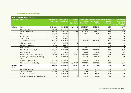#### COMMUNITY INFRASTRUCTURE

|                         | <b>COMMUNITY INFRASTRUCTURE</b>           |                                          |                                            |                                                           |                                                             |                                                   |                                                                 |                                                                                 |
|-------------------------|-------------------------------------------|------------------------------------------|--------------------------------------------|-----------------------------------------------------------|-------------------------------------------------------------|---------------------------------------------------|-----------------------------------------------------------------|---------------------------------------------------------------------------------|
| <b>Location</b>         | <b>Work Code</b>                          | <b>TYP Capital</b><br><b>Expenditure</b> | <b>Total Capital</b><br><b>Expenditure</b> | <b>TYP Growth</b><br><b>Capital</b><br><b>Expenditure</b> | <b>Total Growth</b><br><b>Capital</b><br><b>Expenditure</b> | <b>Growth costs</b><br>consumed -<br><b>TOTAL</b> | <b>Analysis Period</b><br><b>Dwelling</b><br><b>Equivalents</b> | <b>Development</b><br><b>Contribution</b><br>per Dwelling<br>Equivalent (\$/DE) |
| Wānaka                  | <b>Total</b>                              | 24,235,289                               | 75,615,884                                 | 7,974,115                                                 | 27,838,578                                                  | 10,792,441                                        | 2,850                                                           | \$3,787                                                                         |
|                         | <b>Buildings - Toilets</b>                | 900,000                                  | 3,976,913                                  | 0                                                         | 620,431                                                     | 195,684                                           | 2,850                                                           | \$69                                                                            |
|                         | <b>Waterways Facilities</b>               | 2,395,380                                | 4,494,112                                  | 633,958                                                   | 1,309,206                                                   | 452,274                                           | 2,850                                                           | \$159                                                                           |
|                         | Halls - Hawea                             | 137,640                                  | 205,115                                    | 0                                                         | 20,310                                                      | 9,038                                             | 2,850                                                           | \$3                                                                             |
|                         | <b>Holiday Parks</b>                      | 248,160                                  | 248,160                                    | 0                                                         | $\Omega$                                                    | $\Omega$                                          | 2,850                                                           | \$0                                                                             |
|                         | <b>Council Offices</b>                    | <sup>0</sup>                             | 52,697                                     | 0                                                         | $\Omega$                                                    | $\Omega$                                          | 2,850                                                           | \$0                                                                             |
|                         | Wanaka Aquatic Centre                     | 1,430,105                                | 15,036,987                                 | 0                                                         | 5,124,309                                                   | 1,878,626                                         | 2,850                                                           | \$659                                                                           |
|                         | <b>Buildings - Housing</b>                | 31,714                                   | 31,714                                     | 0                                                         | $\mathbf 0$                                                 | $\mathbf{0}$                                      | 2,850                                                           | \$0                                                                             |
|                         | Wanaka Non-Reserve                        | 66,000                                   | 87,858                                     | 0                                                         | $\Omega$                                                    | $\Omega$                                          | 2,850                                                           | \$0                                                                             |
|                         | Halls - Luggate                           | 0                                        | 116,984                                    | 0                                                         | 3,616                                                       | $\Omega$                                          | 2,850                                                           | \$0                                                                             |
|                         | Halls - Arts & Community Centre           | 1,149,040                                | 5,774,099                                  | 0                                                         | 3,083,185                                                   | 1,308,273                                         | 2,850                                                           | \$459                                                                           |
|                         | Halls - Cardrona                          | 79,321                                   | 313,501                                    | 0                                                         | 118,195                                                     | 49,058                                            | 2,850                                                           | \$17                                                                            |
|                         | Halls - Wanaka Community Centre           | 1,000,000                                | 6,390,320                                  | 375,000                                                   | 3,832,254                                                   | 1,494,974                                         | 2,850                                                           | \$525                                                                           |
|                         | Community Development - Swimming<br>Pools | 0                                        | 1,121,324                                  | $\mathbf 0$                                               | 301,091                                                     | 147,722                                           | 2,850                                                           | \$52                                                                            |
|                         | Libraries - Upper Clutha                  | 679,862                                  | 3,845,274                                  | $\mathbf 0$                                               | 458,922                                                     | 32,244                                            | 2,850                                                           | \$11                                                                            |
|                         | Halls - Wanaka Sports Facility            | 16,118,066                               | 33,920,826                                 | 6,965,157                                                 | 12,967,060                                                  | 5,224,549                                         | 2,850                                                           | \$1,833                                                                         |
| <b>District</b><br>Wide | <b>Total</b>                              | 436,000                                  | 2,642,663                                  | 35,250                                                    | 577,540                                                     | 157,191                                           | 7,269                                                           | \$22                                                                            |
|                         | <b>Waterways Facilities</b>               | 251,000                                  | 251,000                                    | 35,250                                                    | 35,250                                                      | 17,228                                            | 7,269                                                           | \$2                                                                             |
|                         | Buildings - Housing                       | 185,000                                  | 302,763                                    | 0                                                         | 21,197                                                      | 11,071                                            | 7,269                                                           | \$2                                                                             |
|                         | <b>Rural Fire - District Wide</b>         | 0                                        | 1,299,284                                  | 0                                                         | 46,686                                                      | 16,686                                            | 7,269                                                           | \$2                                                                             |
|                         | Community Development - District Wide     | 0                                        | 789,615                                    | 0                                                         | 474,407                                                     | 112,206                                           | 7,269                                                           | \$15                                                                            |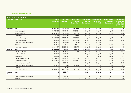#### RESERVE IMPROVEMENTS

| <b>RESERVE IMPROVEMENTS</b> |                           |                                          |                                            |                                                           |                                                             |                                                   |                                                                 |                                                                                     |
|-----------------------------|---------------------------|------------------------------------------|--------------------------------------------|-----------------------------------------------------------|-------------------------------------------------------------|---------------------------------------------------|-----------------------------------------------------------------|-------------------------------------------------------------------------------------|
| <b>Location</b>             | <b>Work Code</b>          | <b>TYP Capital</b><br><b>Expenditure</b> | <b>Total Capital</b><br><b>Expenditure</b> | <b>TYP Growth</b><br><b>Capital</b><br><b>Expenditure</b> | <b>Total Growth</b><br><b>Capital</b><br><b>Expenditure</b> | <b>Growth costs</b><br>consumed -<br><b>TOTAL</b> | <b>Analysis Period</b><br><b>Dwelling</b><br><b>Equivalents</b> | <b>Development</b><br><b>Contribution</b><br>per Dwelling<br>Equivalent (\$/<br>DE) |
| Wakatipu                    | <b>Total</b>              | 52,025,712                               | 85,908,698                                 | 7,533,181                                                 | 16,601,511                                                  | 4,613,200                                         | 3,923                                                           | \$1,176                                                                             |
|                             | Reserve upgrade           | 3,276,000                                | 10,138,649                                 | 1,084,016                                                 | 3,249,403                                                   | 1,122,147                                         | 3,923                                                           | \$286                                                                               |
|                             | <b>Tracks and Trails</b>  | 6,763,000                                | 9,065,549                                  | 872,939                                                   | 1,504,496                                                   | 532,302                                           | 3,923                                                           | \$136                                                                               |
|                             | Cemeteries                | 577,235                                  | 1,105,859                                  | 129,722                                                   | 308,840                                                     | 148,471                                           | 3,923                                                           | \$38                                                                                |
|                             | Premier Park upgarde      | 8,210,000                                | 12,838,244                                 | 2,753,550                                                 | 4,167,131                                                   | 1,625,273                                         | 3,923                                                           | \$414                                                                               |
|                             | Sportsfield upgrade       | 7,458,000                                | 9,026,253                                  | 1,442,706                                                 | 1,976,811                                                   | 569,630                                           | 3,923                                                           | \$145                                                                               |
|                             | Playgrounds and equipment | 2,400,000                                | 4,110,497                                  | 709,680                                                   | 988,913                                                     | 277,054                                           | 3,923                                                           | \$71                                                                                |
|                             | Camping                   | 60,000                                   | 77,553                                     | 19,812                                                    | 19,812                                                      | 6,098                                             | 3,923                                                           | \$2                                                                                 |
|                             | <b>Parks and Reserves</b> | 23,281,477                               | 39,546,095                                 | 520,755                                                   | 4,386,105                                                   | 332,223                                           | 3,923                                                           | \$85                                                                                |
| Wānaka                      | <b>Total</b>              | 28,767,674                               | 52,289,179                                 | 10,215,631                                                | 19,446,859                                                  | 6,151,148                                         | 2,588                                                           | \$2,377                                                                             |
|                             | Reserve upgrade           | 1,050,000                                | 5,035,782                                  | 391,155                                                   | 1,955,800                                                   | 416,907                                           | 2,588                                                           | \$161                                                                               |
|                             | <b>Tracks and Trails</b>  | 935,000                                  | 1,883,952                                  | 0                                                         | 366,677                                                     | 159,078                                           | 2,588                                                           | \$61                                                                                |
|                             | Cemeteries                | 100,000                                  | 554,479                                    | 0                                                         | 147,771                                                     | 55,588                                            | 2,588                                                           | \$21                                                                                |
|                             | Premier Park upgarde      | 9,029,415                                | 18,137,077                                 | 4,257,884                                                 | 7,465,761                                                   | 2,936,787                                         | 2,588                                                           | \$1,135                                                                             |
|                             | Sportsfield upgrade       | 9,718,989                                | 10,963,162                                 | 4,340,112                                                 | 4,823,181                                                   | 1,731,809                                         | 2,588                                                           | \$669                                                                               |
|                             | Community centre land     | $\Omega$                                 | 2,255,340                                  | 0                                                         | 1,621,817                                                   | 298,291                                           | 2,588                                                           | \$115                                                                               |
|                             | Playgrounds and equipment | 1,640,000                                | 2,876,443                                  | 620,740                                                   | 1,010,263                                                   | 236,259                                           | 2,588                                                           | \$91                                                                                |
|                             | Camping                   | 0                                        | 32,863                                     | 0                                                         | $\Omega$                                                    | $\Omega$                                          | 2,588                                                           | \$0                                                                                 |
|                             | <b>Parks and Reserves</b> | 6,294,270                                | 10,550,082                                 | 605,740                                                   | 2,055,589                                                   | 316,428                                           | 2,588                                                           | \$122                                                                               |
| <b>District</b><br>Wide     | <b>Total</b>              | $\mathbf 0$                              | 2,223,741                                  | 0                                                         | 992,604                                                     | 374,642                                           | 6,511                                                           | \$58                                                                                |
|                             | Playgrounds and equipment | $\mathsf 0$                              | 219,947                                    | 0                                                         | $\Omega$                                                    | $\mathbf 0$                                       | 6,511                                                           | \$0                                                                                 |
|                             | Camping                   | $\mathbf 0$                              | 2,003,794                                  | 0                                                         | 992,604                                                     | 374,642                                           | 6,511                                                           | \$58                                                                                |